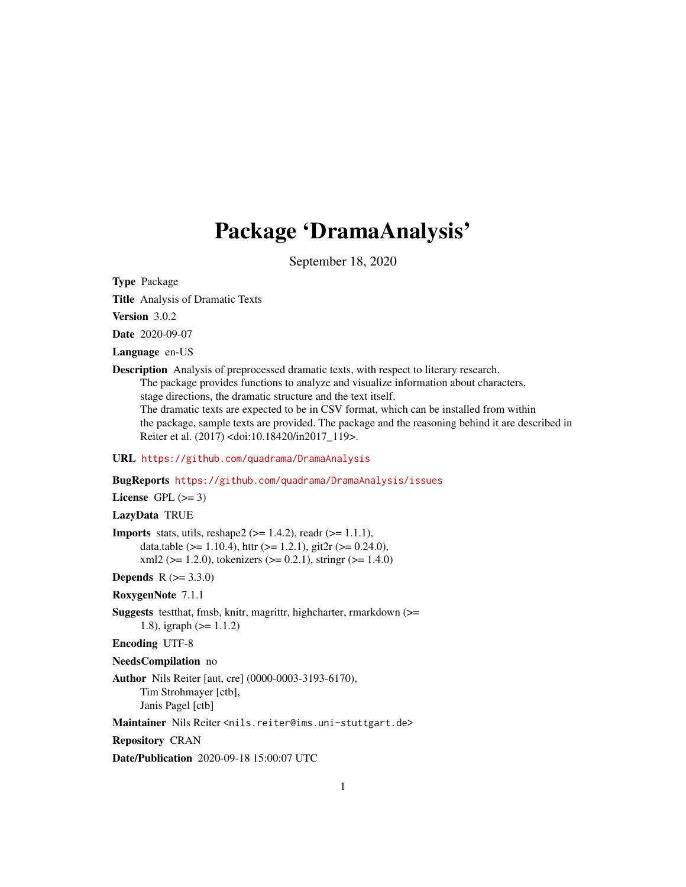# Package 'DramaAnalysis'

September 18, 2020

<span id="page-0-0"></span>Type Package

Title Analysis of Dramatic Texts

Version 3.0.2

Date 2020-09-07

Language en-US

Description Analysis of preprocessed dramatic texts, with respect to literary research. The package provides functions to analyze and visualize information about characters, stage directions, the dramatic structure and the text itself. The dramatic texts are expected to be in CSV format, which can be installed from within the package, sample texts are provided. The package and the reasoning behind it are described in Reiter et al. (2017) <doi:10.18420/in2017\_119>.

#### URL <https://github.com/quadrama/DramaAnalysis>

BugReports <https://github.com/quadrama/DramaAnalysis/issues>

License GPL  $(>= 3)$ 

LazyData TRUE

```
Imports stats, utils, reshape2 (> = 1.4.2), readr (> = 1.1.1),
      data.table (> = 1.10.4), httr (> = 1.2.1), git2r (> = 0.24.0),
      xml2 (> = 1.2.0), tokenizers (>= 0.2.1), stringr (>= 1.4.0)
```
**Depends**  $R (= 3.3.0)$ 

RoxygenNote 7.1.1

Suggests testthat, fmsb, knitr, magrittr, highcharter, rmarkdown (>= 1.8), igraph (>= 1.1.2)

Encoding UTF-8

NeedsCompilation no

Author Nils Reiter [aut, cre] (0000-0003-3193-6170), Tim Strohmayer [ctb], Janis Pagel [ctb]

Maintainer Nils Reiter <nils.reiter@ims.uni-stuttgart.de>

Repository CRAN

Date/Publication 2020-09-18 15:00:07 UTC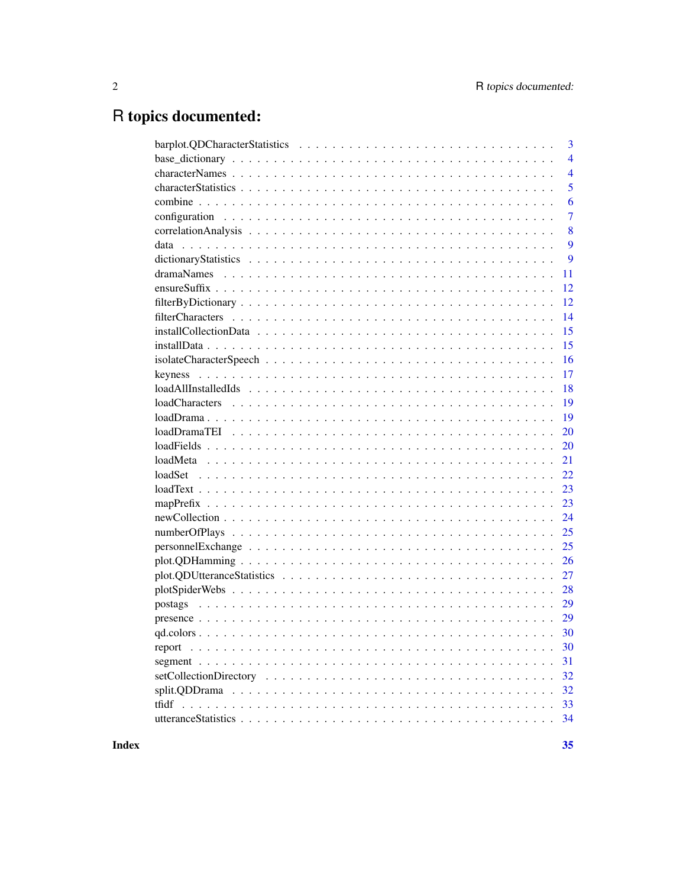# R topics documented:

| 3              |
|----------------|
| $\overline{4}$ |
| $\overline{4}$ |
| 5              |
| 6              |
| $\overline{7}$ |
| 8              |
| 9              |
| 9              |
| 11             |
| 12             |
| 12             |
| 14             |
| 15             |
| 15             |
| 16             |
| 17             |
| 18             |
| 19             |
| 19             |
| 20             |
| 20             |
| 21             |
| 22             |
| 23             |
| 23             |
| 24             |
| 25             |
| 25             |
| 26             |
| 27             |
| 28             |
| 29             |
|                |
|                |
| 30<br>report   |
| 31             |
| 32             |
| 32             |
| 33             |
| 34             |
|                |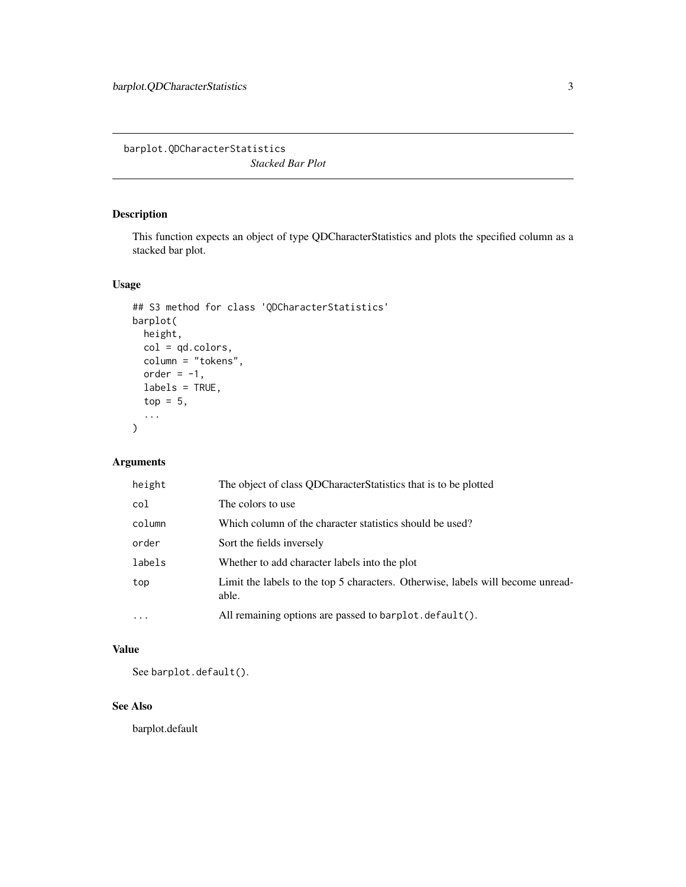<span id="page-2-0"></span>barplot.QDCharacterStatistics *Stacked Bar Plot*

## Description

This function expects an object of type QDCharacterStatistics and plots the specified column as a stacked bar plot.

## Usage

```
## S3 method for class 'QDCharacterStatistics'
barplot(
 height,
 col = qd.colors,
  column = "tokens",
 order = -1,
 labels = TRUE,
  top = 5,
  ...
\mathcal{L}
```
## Arguments

| height    | The object of class QDCharacterStatistics that is to be plotted                          |
|-----------|------------------------------------------------------------------------------------------|
| col       | The colors to use                                                                        |
| column    | Which column of the character statistics should be used?                                 |
| order     | Sort the fields inversely                                                                |
| labels    | Whether to add character labels into the plot                                            |
| top       | Limit the labels to the top 5 characters. Otherwise, labels will become unread-<br>able. |
| $\ddotsc$ | All remaining options are passed to barplot. default().                                  |

## Value

See barplot.default().

## See Also

barplot.default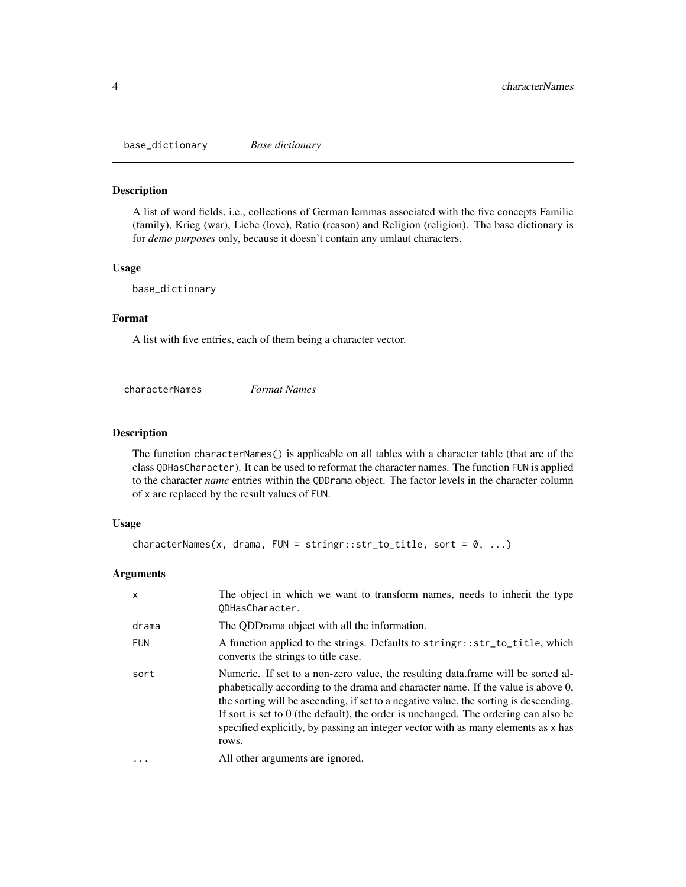<span id="page-3-0"></span>base\_dictionary *Base dictionary*

## **Description**

A list of word fields, i.e., collections of German lemmas associated with the five concepts Familie (family), Krieg (war), Liebe (love), Ratio (reason) and Religion (religion). The base dictionary is for *demo purposes* only, because it doesn't contain any umlaut characters.

#### Usage

base\_dictionary

## Format

A list with five entries, each of them being a character vector.

<span id="page-3-1"></span>

| characterNames<br><b>Format Names</b> |  |  |  |
|---------------------------------------|--|--|--|
|---------------------------------------|--|--|--|

## Description

The function characterNames() is applicable on all tables with a character table (that are of the class QDHasCharacter). It can be used to reformat the character names. The function FUN is applied to the character *name* entries within the QDDrama object. The factor levels in the character column of x are replaced by the result values of FUN.

#### Usage

```
characterNames(x, drama, FUN = stringr::str_to_title, sort = 0, ...)
```
## Arguments

| X          | The object in which we want to transform names, needs to inherit the type<br>ODHasCharacter.                                                                                                                                                                                                                                                                                                                                                         |
|------------|------------------------------------------------------------------------------------------------------------------------------------------------------------------------------------------------------------------------------------------------------------------------------------------------------------------------------------------------------------------------------------------------------------------------------------------------------|
| drama      | The QDD rama object with all the information.                                                                                                                                                                                                                                                                                                                                                                                                        |
| <b>FUN</b> | A function applied to the strings. Defaults to string r: str_to_title, which<br>converts the strings to title case.                                                                                                                                                                                                                                                                                                                                  |
| sort       | Numeric. If set to a non-zero value, the resulting data frame will be sorted al-<br>phabetically according to the drama and character name. If the value is above 0,<br>the sorting will be ascending, if set to a negative value, the sorting is descending.<br>If sort is set to $0$ (the default), the order is unchanged. The ordering can also be<br>specified explicitly, by passing an integer vector with as many elements as x has<br>rows. |
| .          | All other arguments are ignored.                                                                                                                                                                                                                                                                                                                                                                                                                     |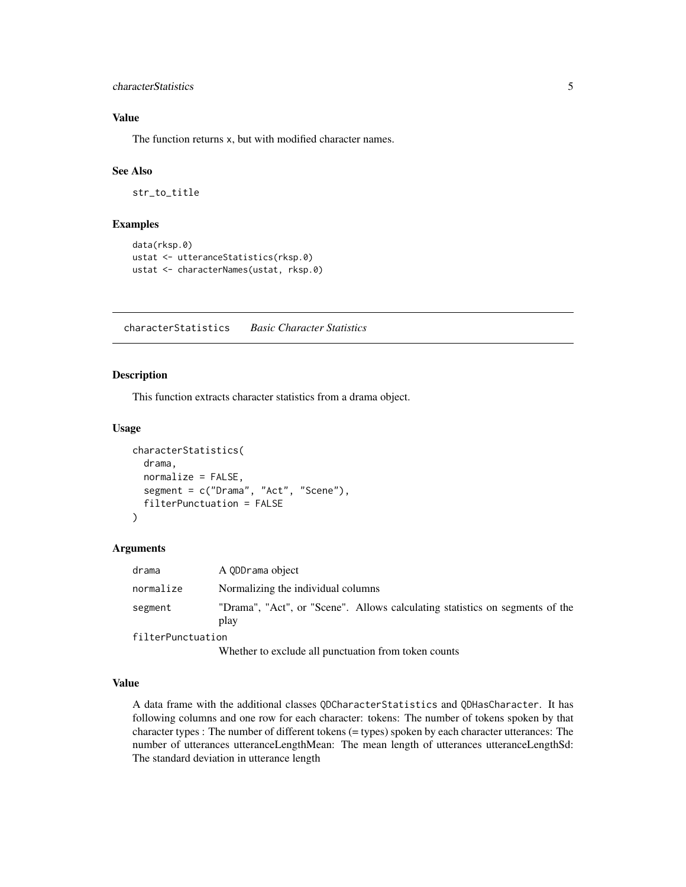#### <span id="page-4-0"></span>characterStatistics 5

## Value

The function returns x, but with modified character names.

#### See Also

str\_to\_title

#### Examples

```
data(rksp.0)
ustat <- utteranceStatistics(rksp.0)
ustat <- characterNames(ustat, rksp.0)
```
characterStatistics *Basic Character Statistics*

## Description

This function extracts character statistics from a drama object.

#### Usage

```
characterStatistics(
  drama,
  normalize = FALSE,
  segment = c("Drama", "Act", "Scene"),
  filterPunctuation = FALSE
)
```
#### Arguments

| drama             | A ODDrama object                                                                     |
|-------------------|--------------------------------------------------------------------------------------|
| normalize         | Normalizing the individual columns                                                   |
| segment           | "Drama", "Act", or "Scene". Allows calculating statistics on segments of the<br>play |
| filterPunctuation |                                                                                      |

Whether to exclude all punctuation from token counts

#### Value

A data frame with the additional classes QDCharacterStatistics and QDHasCharacter. It has following columns and one row for each character: tokens: The number of tokens spoken by that character types : The number of different tokens (= types) spoken by each character utterances: The number of utterances utteranceLengthMean: The mean length of utterances utteranceLengthSd: The standard deviation in utterance length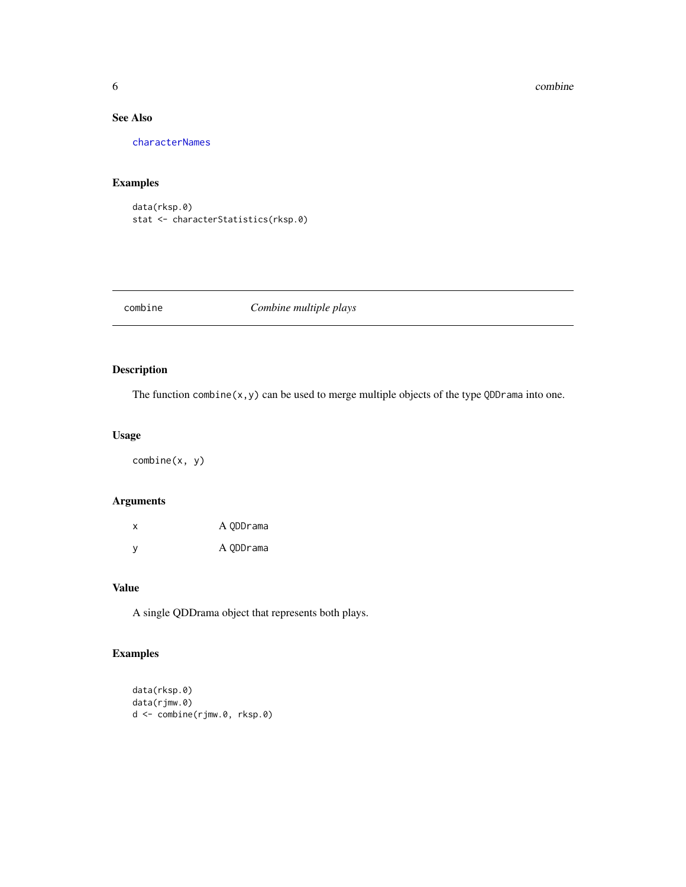#### <span id="page-5-0"></span>6 combine combine combine combine combine combine combine combine combine combine combine combine combine combine  $\sim$

## See Also

[characterNames](#page-3-1)

## Examples

data(rksp.0) stat <- characterStatistics(rksp.0)

combine *Combine multiple plays*

## Description

The function combine(x,y) can be used to merge multiple objects of the type QDDrama into one.

## Usage

combine(x, y)

## Arguments

| x        | A ODDrama |
|----------|-----------|
| <b>V</b> | A ODDrama |

#### Value

A single QDDrama object that represents both plays.

## Examples

```
data(rksp.0)
data(rjmw.0)
d <- combine(rjmw.0, rksp.0)
```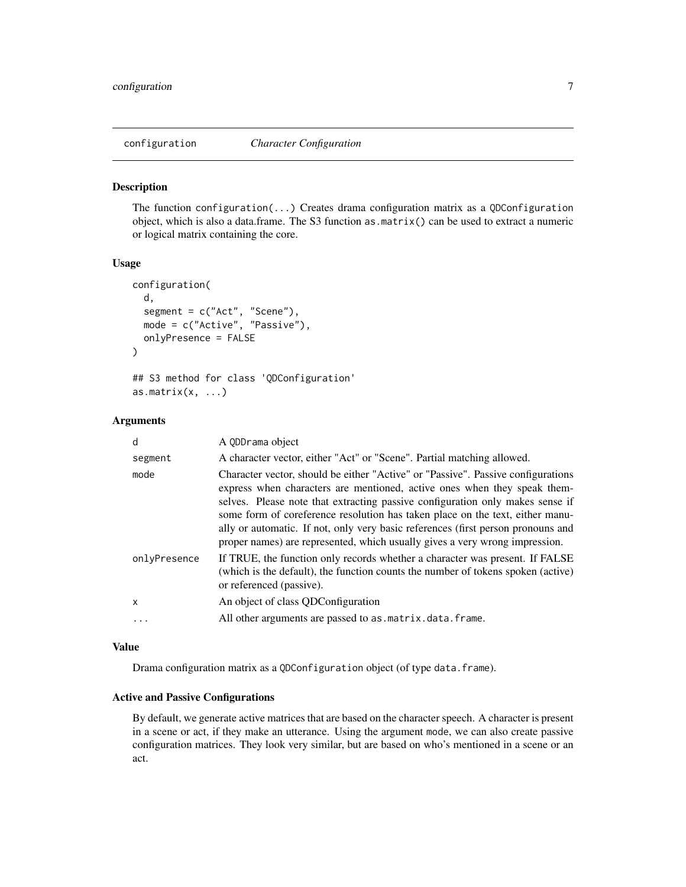<span id="page-6-0"></span>

#### Description

The function configuration(...) Creates drama configuration matrix as a QDConfiguration object, which is also a data.frame. The S3 function as.matrix() can be used to extract a numeric or logical matrix containing the core.

#### Usage

```
configuration(
  d,
  segment = c("Act", "Scene"),
 mode = c("Active", "Passive"),
  onlyPresence = FALSE
)
## S3 method for class 'QDConfiguration'
as.matrix(x, ...)
```
#### Arguments

| d            | A ODDrama object                                                                                                                                                                                                                                                                                                                                                                                                                                                                                  |
|--------------|---------------------------------------------------------------------------------------------------------------------------------------------------------------------------------------------------------------------------------------------------------------------------------------------------------------------------------------------------------------------------------------------------------------------------------------------------------------------------------------------------|
| segment      | A character vector, either "Act" or "Scene". Partial matching allowed.                                                                                                                                                                                                                                                                                                                                                                                                                            |
| mode         | Character vector, should be either "Active" or "Passive". Passive configurations<br>express when characters are mentioned, active ones when they speak them-<br>selves. Please note that extracting passive configuration only makes sense if<br>some form of coreference resolution has taken place on the text, either manu-<br>ally or automatic. If not, only very basic references (first person pronouns and<br>proper names) are represented, which usually gives a very wrong impression. |
| onlyPresence | If TRUE, the function only records whether a character was present. If FALSE<br>(which is the default), the function counts the number of tokens spoken (active)<br>or referenced (passive).                                                                                                                                                                                                                                                                                                      |
| X            | An object of class ODConfiguration                                                                                                                                                                                                                                                                                                                                                                                                                                                                |
|              | All other arguments are passed to as matrix data. frame.                                                                                                                                                                                                                                                                                                                                                                                                                                          |
|              |                                                                                                                                                                                                                                                                                                                                                                                                                                                                                                   |

#### Value

Drama configuration matrix as a QDConfiguration object (of type data.frame).

## Active and Passive Configurations

By default, we generate active matrices that are based on the character speech. A character is present in a scene or act, if they make an utterance. Using the argument mode, we can also create passive configuration matrices. They look very similar, but are based on who's mentioned in a scene or an act.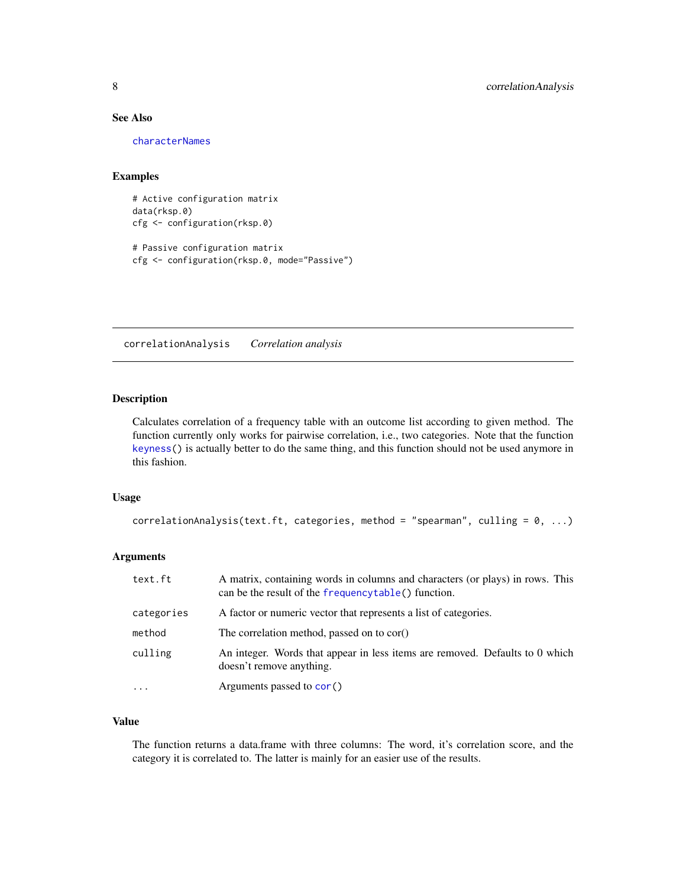#### <span id="page-7-0"></span>See Also

[characterNames](#page-3-1)

#### Examples

```
# Active configuration matrix
data(rksp.0)
cfg <- configuration(rksp.0)
# Passive configuration matrix
cfg <- configuration(rksp.0, mode="Passive")
```
correlationAnalysis *Correlation analysis*

#### Description

Calculates correlation of a frequency table with an outcome list according to given method. The function currently only works for pairwise correlation, i.e., two categories. Note that the function [keyness\(](#page-16-1)) is actually better to do the same thing, and this function should not be used anymore in this fashion.

#### Usage

```
correlationAnalysis(text.ft, categories, method = "spearman", culling = 0, ...)
```
#### Arguments

| text.ft    | A matrix, containing words in columns and characters (or plays) in rows. This<br>can be the result of the frequencytable() function. |
|------------|--------------------------------------------------------------------------------------------------------------------------------------|
| categories | A factor or numeric vector that represents a list of categories.                                                                     |
| method     | The correlation method, passed on to cor()                                                                                           |
| culling    | An integer. Words that appear in less items are removed. Defaults to 0 which<br>doesn't remove anything.                             |
|            | Arguments passed to cor()                                                                                                            |

## Value

The function returns a data.frame with three columns: The word, it's correlation score, and the category it is correlated to. The latter is mainly for an easier use of the results.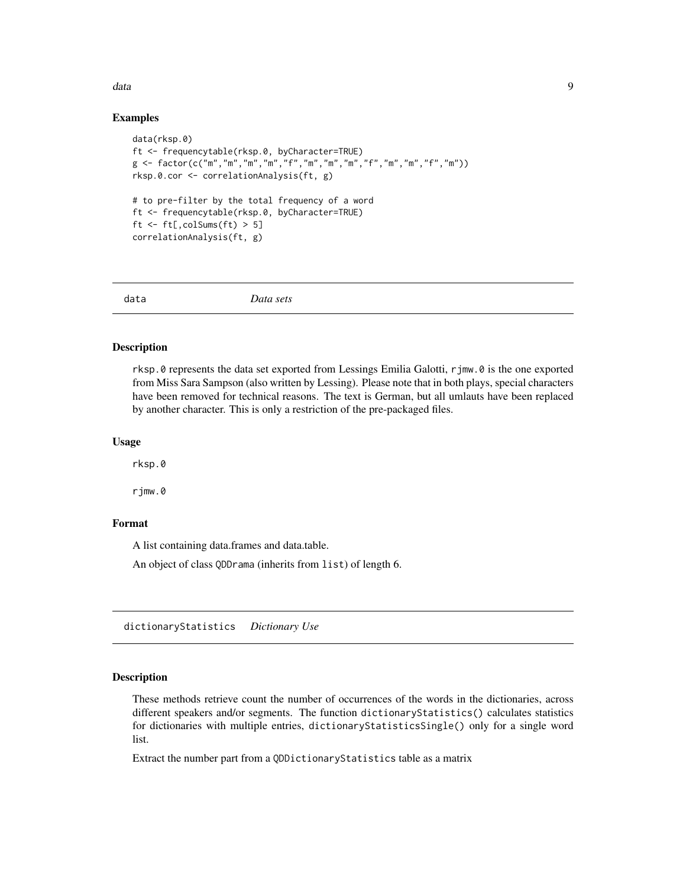#### <span id="page-8-0"></span>data and the set of the set of the set of the set of the set of the set of the set of the set of the set of the set of the set of the set of the set of the set of the set of the set of the set of the set of the set of the

#### Examples

```
data(rksp.0)
ft <- frequencytable(rksp.0, byCharacter=TRUE)
g <- factor(c("m","m","m","m","f","m","m","m","f","m","m","f","m"))
rksp.0.cor <- correlationAnalysis(ft, g)
# to pre-filter by the total frequency of a word
ft <- frequencytable(rksp.0, byCharacter=TRUE)
ft \le ft[, colSums(ft) > 5]
correlationAnalysis(ft, g)
```
data *Data sets*

#### Description

rksp.0 represents the data set exported from Lessings Emilia Galotti, rjmw.0 is the one exported from Miss Sara Sampson (also written by Lessing). Please note that in both plays, special characters have been removed for technical reasons. The text is German, but all umlauts have been replaced by another character. This is only a restriction of the pre-packaged files.

#### Usage

rksp.0

rjmw.0

## Format

A list containing data.frames and data.table.

An object of class QDDrama (inherits from list) of length 6.

dictionaryStatistics *Dictionary Use*

#### Description

These methods retrieve count the number of occurrences of the words in the dictionaries, across different speakers and/or segments. The function dictionaryStatistics() calculates statistics for dictionaries with multiple entries, dictionaryStatisticsSingle() only for a single word list.

Extract the number part from a QDDictionaryStatistics table as a matrix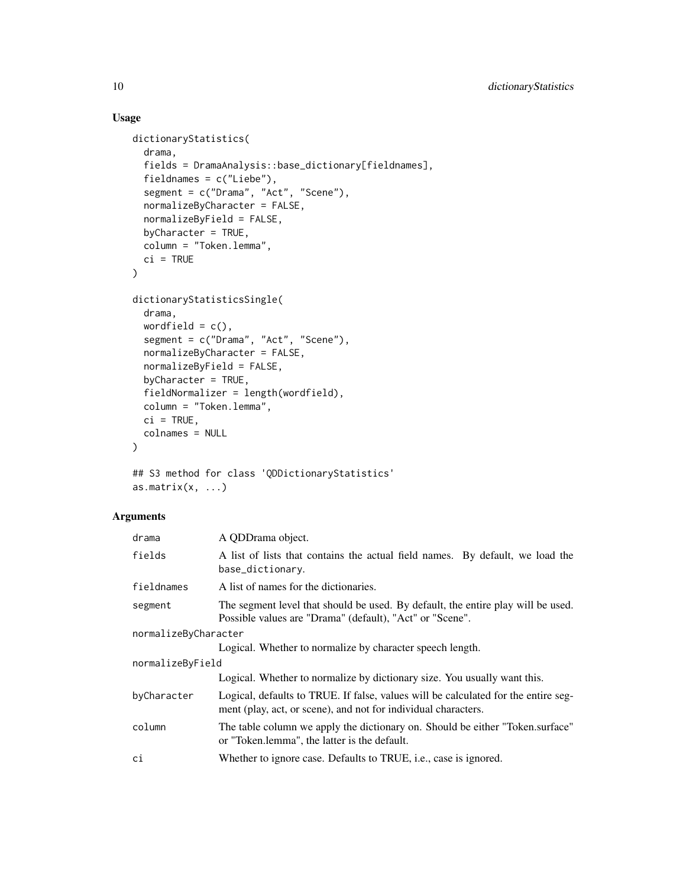## Usage

```
dictionaryStatistics(
  drama,
  fields = DramaAnalysis::base_dictionary[fieldnames],
  fieldnames = c("Liebe"),
  segment = c("Drama", "Act", "Scene"),
  normalizeByCharacter = FALSE,
  normalizeByField = FALSE,
 byCharacter = TRUE,
  column = "Token.lemma",
  ci = TRUE)
dictionaryStatisticsSingle(
  drama,
  wordfield = c(),
  segment = c("Drama", "Act", "Scene"),
  normalizeByCharacter = FALSE,
  normalizeByField = FALSE,
  byCharacter = TRUE,
  fieldNormalizer = length(wordfield),
 column = "Token.lemma",
  ci = TRUE,colnames = NULL
\mathcal{L}## S3 method for class 'QDDictionaryStatistics'
```
## as.matrix $(x, \ldots)$

## Arguments

| drama                | A QDDrama object.                                                                                                                                    |  |
|----------------------|------------------------------------------------------------------------------------------------------------------------------------------------------|--|
| fields               | A list of lists that contains the actual field names. By default, we load the<br>base_dictionary.                                                    |  |
| fieldnames           | A list of names for the dictionaries.                                                                                                                |  |
| segment              | The segment level that should be used. By default, the entire play will be used.<br>Possible values are "Drama" (default), "Act" or "Scene".         |  |
| normalizeByCharacter |                                                                                                                                                      |  |
|                      | Logical. Whether to normalize by character speech length.                                                                                            |  |
| normalizeByField     |                                                                                                                                                      |  |
|                      | Logical. Whether to normalize by dictionary size. You usually want this.                                                                             |  |
| byCharacter          | Logical, defaults to TRUE. If false, values will be calculated for the entire seg-<br>ment (play, act, or scene), and not for individual characters. |  |
| column               | The table column we apply the dictionary on. Should be either "Token.surface"<br>or "Token.lemma", the latter is the default.                        |  |
| сi                   | Whether to ignore case. Defaults to TRUE, <i>i.e.</i> , case is ignored.                                                                             |  |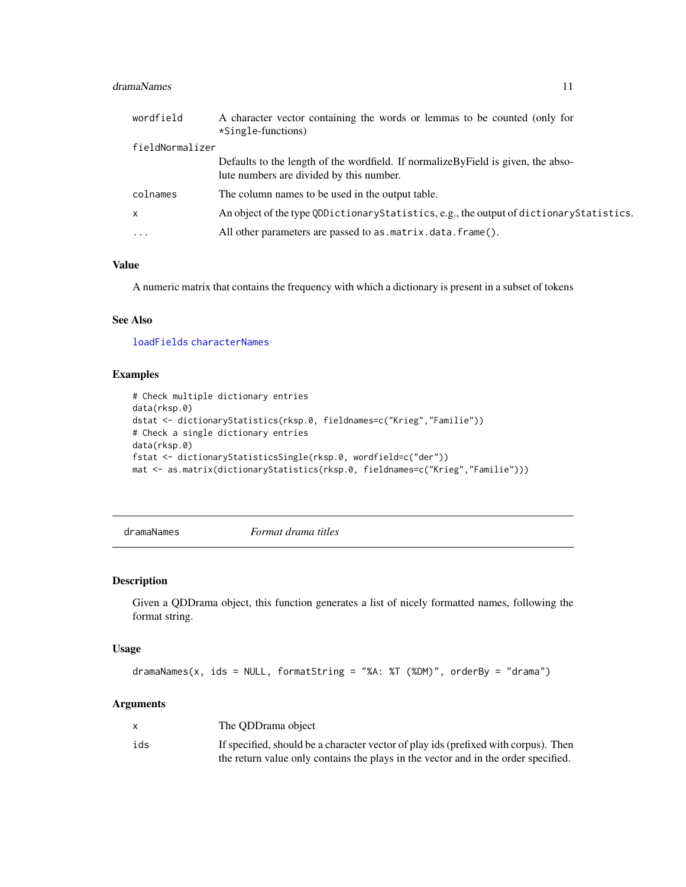#### <span id="page-10-0"></span>dramaNames 11

| wordfield       | A character vector containing the words or lemmas to be counted (only for<br>$\star$ Single-functions)                          |
|-----------------|---------------------------------------------------------------------------------------------------------------------------------|
| fieldNormalizer |                                                                                                                                 |
|                 | Defaults to the length of the wordfield. If normalize $ByField$ is given, the abso-<br>lute numbers are divided by this number. |
| colnames        | The column names to be used in the output table.                                                                                |
| $\mathsf{x}$    | An object of the type QDDictionaryStatistics, e.g., the output of dictionaryStatistics.                                         |
| $\cdots$        | All other parameters are passed to as matrix data frame().                                                                      |

## Value

A numeric matrix that contains the frequency with which a dictionary is present in a subset of tokens

## See Also

[loadFields](#page-19-1) [characterNames](#page-3-1)

## Examples

```
# Check multiple dictionary entries
data(rksp.0)
dstat <- dictionaryStatistics(rksp.0, fieldnames=c("Krieg","Familie"))
# Check a single dictionary entries
data(rksp.0)
fstat <- dictionaryStatisticsSingle(rksp.0, wordfield=c("der"))
mat <- as.matrix(dictionaryStatistics(rksp.0, fieldnames=c("Krieg","Familie")))
```
dramaNames *Format drama titles*

#### Description

Given a QDDrama object, this function generates a list of nicely formatted names, following the format string.

## Usage

```
dramaNames(x, ids = NULL, formatString = "%A: %T (%DM)", orderBy = "drama")
```
#### Arguments

|     | The ODDrama object                                                                  |
|-----|-------------------------------------------------------------------------------------|
| ids | If specified, should be a character vector of play ids (prefixed with corpus). Then |
|     | the return value only contains the plays in the vector and in the order specified.  |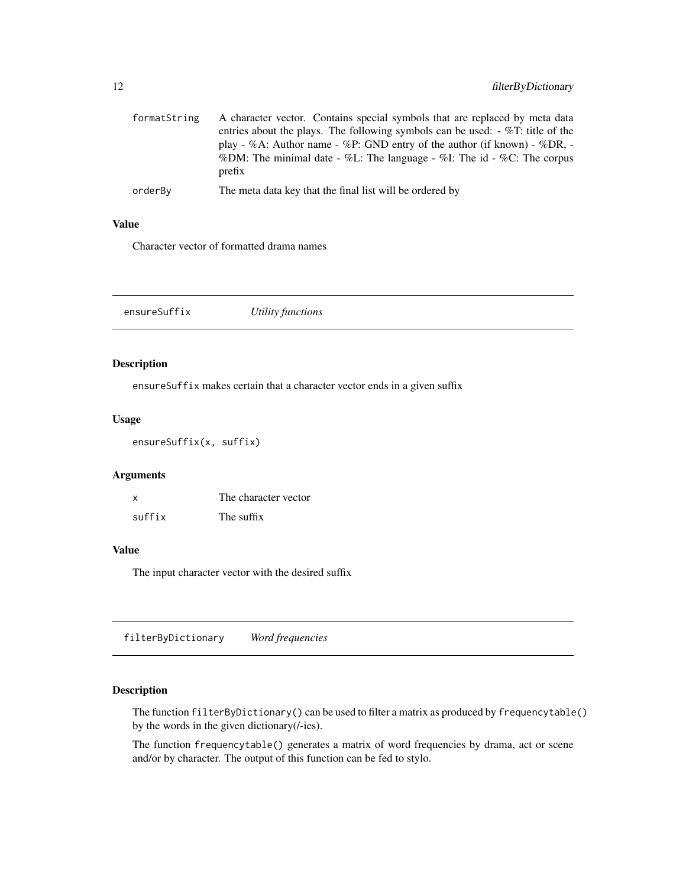<span id="page-11-0"></span>

| formatString | A character vector. Contains special symbols that are replaced by meta data<br>entries about the plays. The following symbols can be used: $-\%T$ : title of the<br>play - %A: Author name - %P: GND entry of the author (if known) - %DR, -<br>%DM: The minimal date - %L: The language - %I: The id - %C: The corpus<br>prefix |
|--------------|----------------------------------------------------------------------------------------------------------------------------------------------------------------------------------------------------------------------------------------------------------------------------------------------------------------------------------|
| orderBy      | The meta data key that the final list will be ordered by                                                                                                                                                                                                                                                                         |

## Value

Character vector of formatted drama names

|--|--|

## Description

ensureSuffix makes certain that a character vector ends in a given suffix

#### Usage

ensureSuffix(x, suffix)

## Arguments

| x      | The character vector |
|--------|----------------------|
| suffix | The suffix           |

#### Value

The input character vector with the desired suffix

filterByDictionary *Word frequencies*

## <span id="page-11-1"></span>Description

The function filterByDictionary() can be used to filter a matrix as produced by frequencytable() by the words in the given dictionary(/-ies).

The function frequencytable() generates a matrix of word frequencies by drama, act or scene and/or by character. The output of this function can be fed to stylo.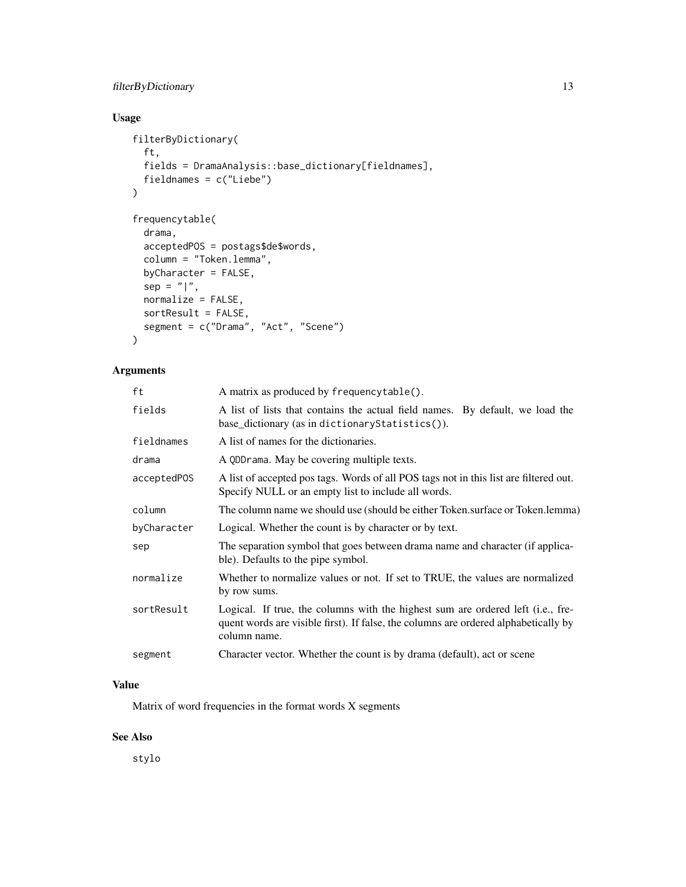## filterByDictionary 13

## Usage

```
filterByDictionary(
  ft,
 fields = DramaAnalysis::base_dictionary[fieldnames],
  fieldnames = c("Liebe")
\mathcal{L}frequencytable(
  drama,
  acceptedPOS = postags$de$words,
  column = "Token.lemma",
 byCharacter = FALSE,
  sep = "|",normalize = FALSE,
  sortResult = FALSE,
  segment = c("Drama", "Act", "Scene")
\lambda
```
## Arguments

| ft          | A matrix as produced by frequencytable().                                                                                                                                              |
|-------------|----------------------------------------------------------------------------------------------------------------------------------------------------------------------------------------|
| fields      | A list of lists that contains the actual field names. By default, we load the<br>base_dictionary (as in dictionary Statistics ()).                                                     |
| fieldnames  | A list of names for the dictionaries.                                                                                                                                                  |
| drama       | A QDDrama. May be covering multiple texts.                                                                                                                                             |
| acceptedPOS | A list of accepted pos tags. Words of all POS tags not in this list are filtered out.<br>Specify NULL or an empty list to include all words.                                           |
| column      | The column name we should use (should be either Token.surface or Token.lemma)                                                                                                          |
| byCharacter | Logical. Whether the count is by character or by text.                                                                                                                                 |
| sep         | The separation symbol that goes between drama name and character (if applica-<br>ble). Defaults to the pipe symbol.                                                                    |
| normalize   | Whether to normalize values or not. If set to TRUE, the values are normalized<br>by row sums.                                                                                          |
| sortResult  | Logical. If true, the columns with the highest sum are ordered left (i.e., fre-<br>quent words are visible first). If false, the columns are ordered alphabetically by<br>column name. |
| segment     | Character vector. Whether the count is by drama (default), act or scene                                                                                                                |

## Value

Matrix of word frequencies in the format words X segments

## See Also

stylo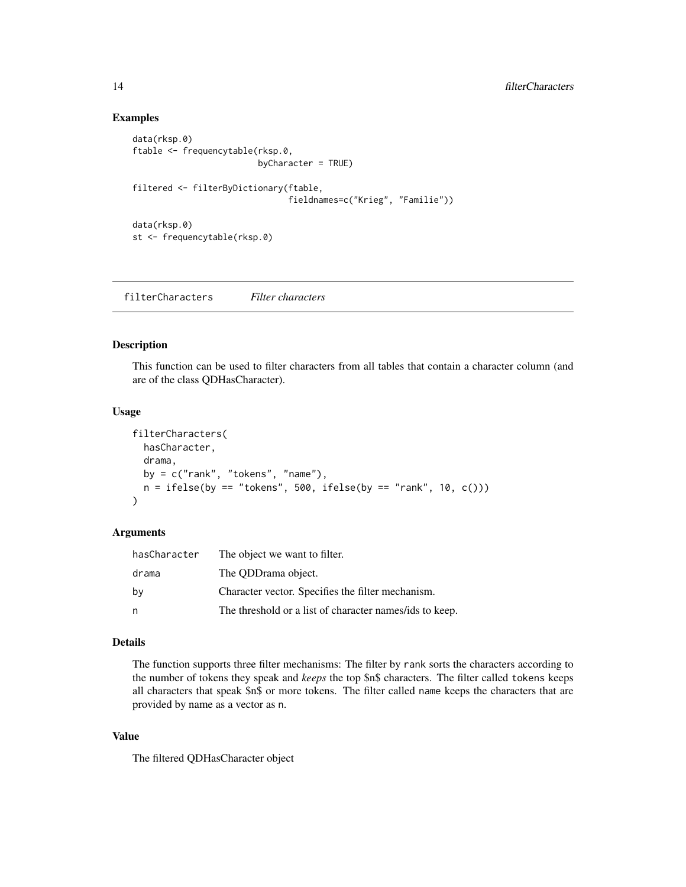## Examples

```
data(rksp.0)
ftable <- frequencytable(rksp.0,
                         byCharacter = TRUE)
filtered <- filterByDictionary(ftable,
                               fieldnames=c("Krieg", "Familie"))
data(rksp.0)
st <- frequencytable(rksp.0)
```
filterCharacters *Filter characters*

## Description

This function can be used to filter characters from all tables that contain a character column (and are of the class QDHasCharacter).

## Usage

```
filterCharacters(
  hasCharacter,
  drama,
 by = c("rank", "tokens", "name"),
  n = ifelse(by == "tokens", 500, ifelse(by == "rank", 10, c())\mathcal{L}
```
#### Arguments

| hasCharacter | The object we want to filter.                           |
|--------------|---------------------------------------------------------|
| drama        | The ODD rama object.                                    |
| by           | Character vector. Specifies the filter mechanism.       |
| n            | The threshold or a list of character names/ids to keep. |

#### Details

The function supports three filter mechanisms: The filter by rank sorts the characters according to the number of tokens they speak and *keeps* the top \$n\$ characters. The filter called tokens keeps all characters that speak \$n\$ or more tokens. The filter called name keeps the characters that are provided by name as a vector as n.

#### Value

The filtered QDHasCharacter object

<span id="page-13-0"></span>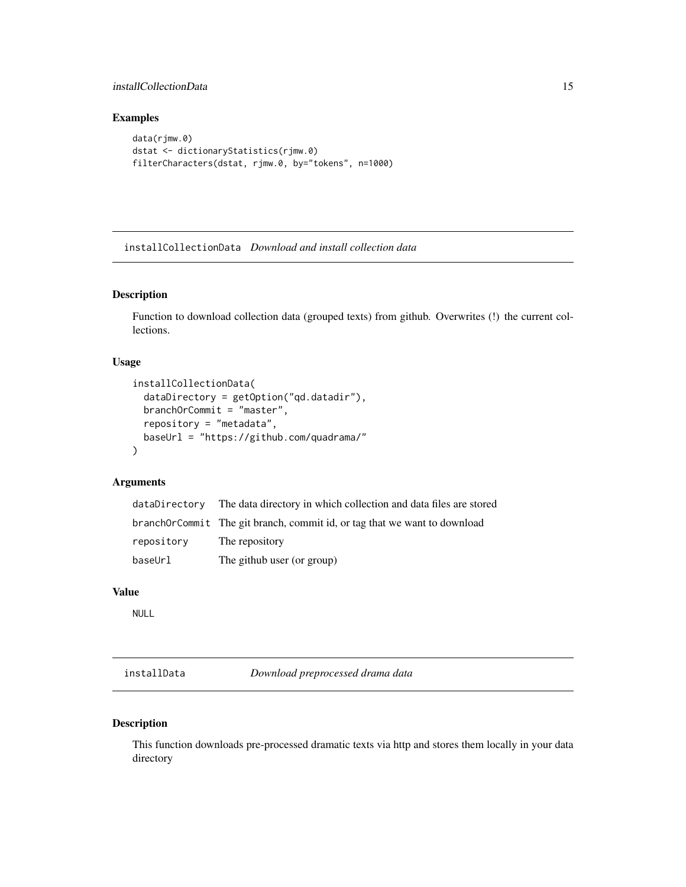## <span id="page-14-0"></span>installCollectionData 15

## Examples

```
data(rjmw.0)
dstat <- dictionaryStatistics(rjmw.0)
filterCharacters(dstat, rjmw.0, by="tokens", n=1000)
```
installCollectionData *Download and install collection data*

## Description

Function to download collection data (grouped texts) from github. Overwrites (!) the current collections.

#### Usage

```
installCollectionData(
 dataDirectory = getOption("qd.datadir"),
 branchOrCommit = "master",
 repository = "metadata",
 baseUrl = "https://github.com/quadrama/"
)
```
#### Arguments

| dataDirectory | The data directory in which collection and data files are stored          |
|---------------|---------------------------------------------------------------------------|
|               | branchOrCommit The git branch, commit id, or tag that we want to download |
| repository    | The repository                                                            |
| baseUrl       | The github user (or group)                                                |

#### Value

NULL

installData *Download preprocessed drama data*

## Description

This function downloads pre-processed dramatic texts via http and stores them locally in your data directory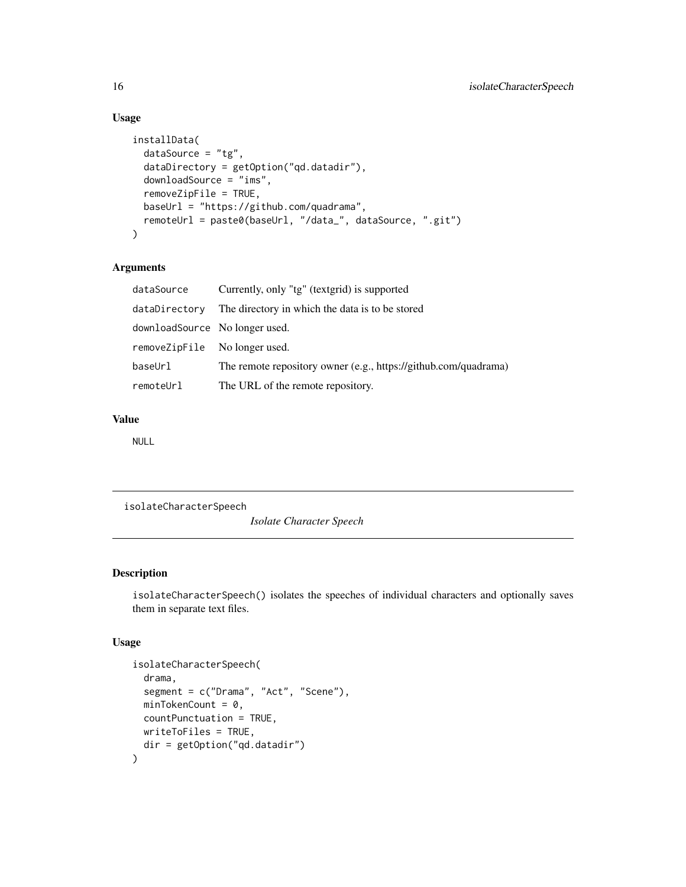## Usage

```
installData(
  dataSource = "tg",
  dataDirectory = getOption("qd.datadir"),
  downloadSource = "ims",
  removeZipFile = TRUE,
 baseUrl = "https://github.com/quadrama",
 remoteUrl = paste0(baseUrl, "/data_", dataSource, ".git")
)
```
## Arguments

| dataSource                     | Currently, only "tg" (textgrid) is supported                    |
|--------------------------------|-----------------------------------------------------------------|
| dataDirectory                  | The directory in which the data is to be stored                 |
| downloadSource No longer used. |                                                                 |
| removeZipFile No longer used.  |                                                                 |
| baseUrl                        | The remote repository owner (e.g., https://github.com/quadrama) |
| remoteUrl                      | The URL of the remote repository.                               |

## Value

NULL

isolateCharacterSpeech

*Isolate Character Speech*

## Description

isolateCharacterSpeech() isolates the speeches of individual characters and optionally saves them in separate text files.

## Usage

```
isolateCharacterSpeech(
  drama,
  segment = c("Drama", "Act", "Scene"),
 minTokenCount = 0,
 countPunctuation = TRUE,
 writeToFiles = TRUE,
 dir = getOption("qd.datadir")
\mathcal{E}
```
<span id="page-15-0"></span>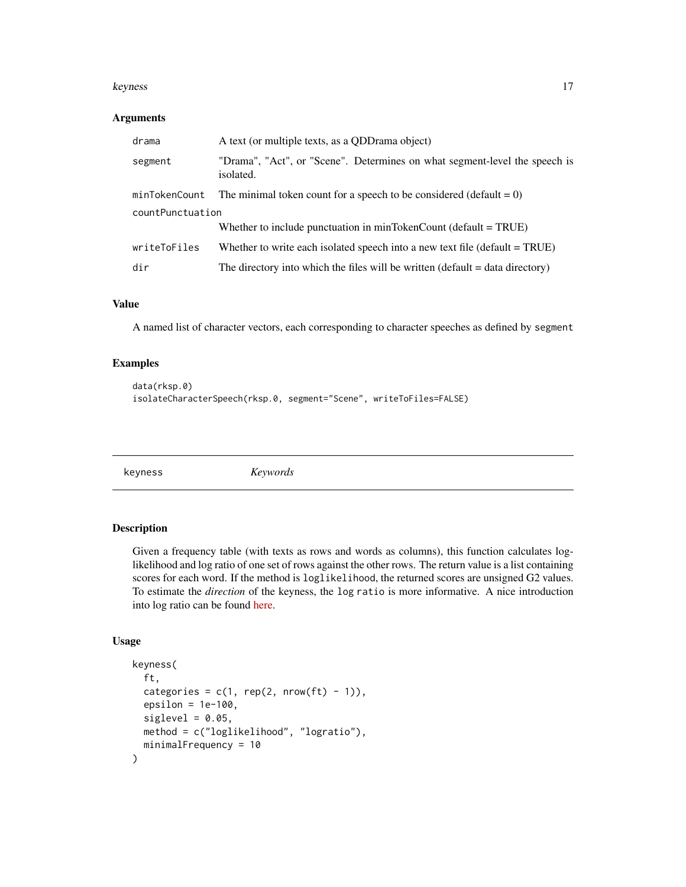#### <span id="page-16-0"></span>keyness and the set of the set of the set of the set of the set of the set of the set of the set of the set of the set of the set of the set of the set of the set of the set of the set of the set of the set of the set of t

#### Arguments

| drama            | A text (or multiple texts, as a QDD rama object)                                        |  |
|------------------|-----------------------------------------------------------------------------------------|--|
| segment          | "Drama", "Act", or "Scene". Determines on what segment-level the speech is<br>isolated. |  |
| minTokenCount    | The minimal token count for a speech to be considered (default $= 0$ )                  |  |
| countPunctuation |                                                                                         |  |
|                  | Whether to include punctuation in minTokenCount (default $= TRUE$ )                     |  |
| writeToFiles     | Whether to write each isolated speech into a new text file (default $= TRUE$ )          |  |
| dir              | The directory into which the files will be written (default $=$ data directory)         |  |

## Value

A named list of character vectors, each corresponding to character speeches as defined by segment

## Examples

```
data(rksp.0)
isolateCharacterSpeech(rksp.0, segment="Scene", writeToFiles=FALSE)
```
<span id="page-16-1"></span>keyness *Keywords*

## Description

Given a frequency table (with texts as rows and words as columns), this function calculates loglikelihood and log ratio of one set of rows against the other rows. The return value is a list containing scores for each word. If the method is loglikelihood, the returned scores are unsigned G2 values. To estimate the *direction* of the keyness, the log ratio is more informative. A nice introduction into log ratio can be found [here.](http://cass.lancs.ac.uk/log-ratio-an-informal-introduction/)

## Usage

```
keyness(
 ft,
 categories = c(1, rep(2, nrow(ft) - 1)),epsilon = 1e-100,
 siglevel = 0.05,
 method = c("loglikelihood", "logratio"),
 minimalFrequency = 10
)
```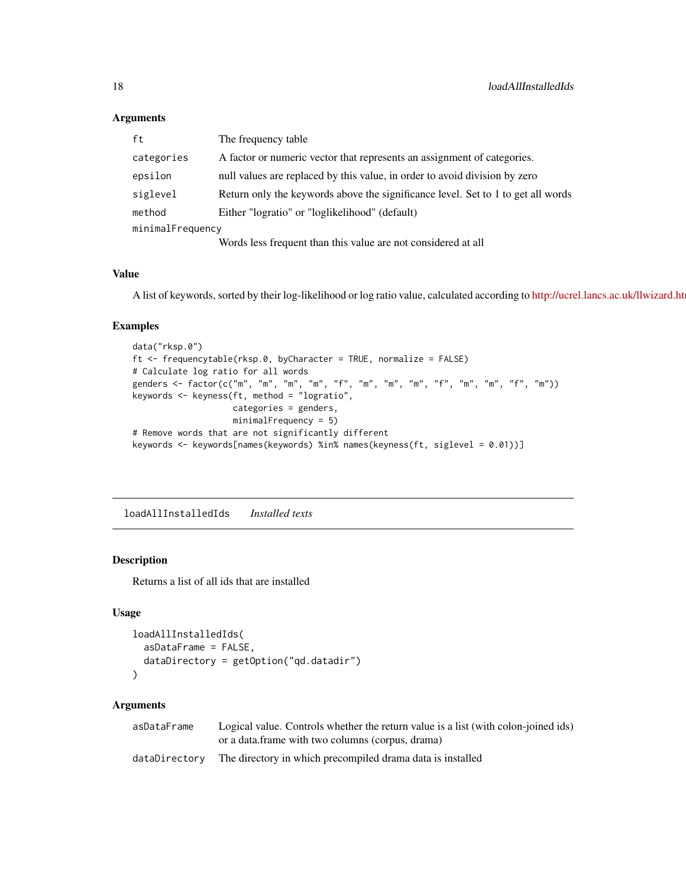#### Arguments

| ft               | The frequency table                                                              |  |
|------------------|----------------------------------------------------------------------------------|--|
| categories       | A factor or numeric vector that represents an assignment of categories.          |  |
| epsilon          | null values are replaced by this value, in order to avoid division by zero       |  |
| siglevel         | Return only the keywords above the significance level. Set to 1 to get all words |  |
| method           | Either "logratio" or "loglikelihood" (default)                                   |  |
| minimalFrequency |                                                                                  |  |
|                  | Words less frequent than this value are not considered at all                    |  |

#### Value

A list of keywords, sorted by their log-likelihood or log ratio value, calculated according to http://ucrel.lancs.ac.uk/llwizard.ht

## Examples

```
data("rksp.0")
ft <- frequencytable(rksp.0, byCharacter = TRUE, normalize = FALSE)
# Calculate log ratio for all words
genders <- factor(c("m", "m", "m", "m", "f", "m", "m", "m", "f", "m", "m", "f", "m"))
keywords <- keyness(ft, method = "logratio",
                    categories = genders,
                   minimalFrequency = 5)
# Remove words that are not significantly different
keywords <- keywords[names(keywords) %in% names(keyness(ft, siglevel = 0.01))]
```
loadAllInstalledIds *Installed texts*

#### Description

Returns a list of all ids that are installed

## Usage

```
loadAllInstalledIds(
  asDataFrame = FALSE,
  dataDirectory = getOption("qd.datadir")
\mathcal{L}
```
#### Arguments

| asDataFrame   | Logical value. Controls whether the return value is a list (with colon-joined ids) |
|---------------|------------------------------------------------------------------------------------|
|               | or a data. frame with two columns (corpus, drama)                                  |
| dataDirectory | The directory in which precompiled drama data is installed                         |

<span id="page-17-0"></span>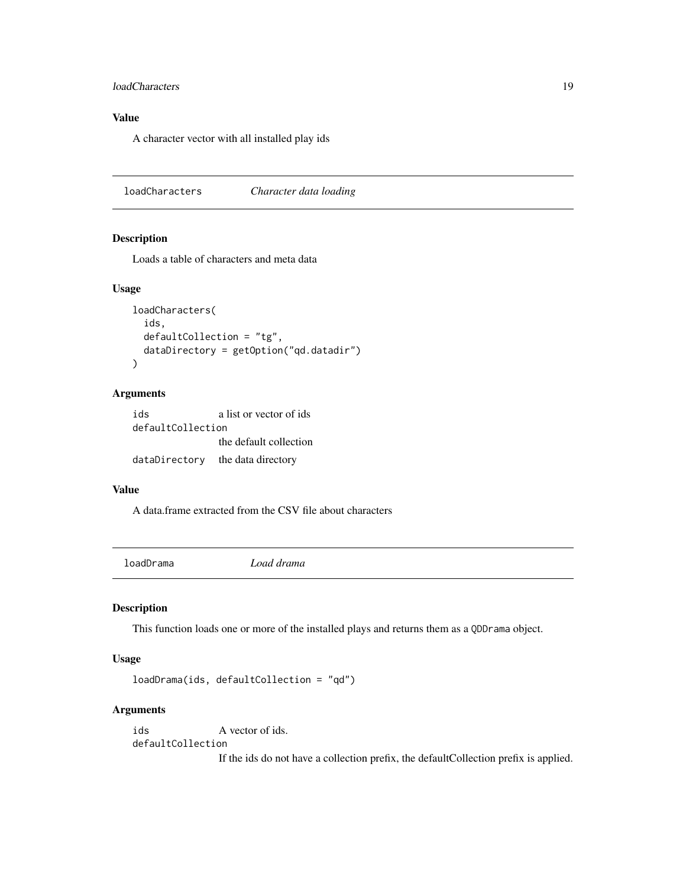## <span id="page-18-0"></span>loadCharacters 19

## Value

A character vector with all installed play ids

loadCharacters *Character data loading*

## Description

Loads a table of characters and meta data

#### Usage

```
loadCharacters(
  ids,
  defaultCollection = "tg",
  dataDirectory = getOption("qd.datadir")
)
```
## Arguments

| ids               | a list or vector of ids |
|-------------------|-------------------------|
| defaultCollection |                         |
|                   | the default collection  |
| dataDirectory     | the data directory      |

#### Value

A data.frame extracted from the CSV file about characters

loadDrama *Load drama*

## Description

This function loads one or more of the installed plays and returns them as a QDDrama object.

## Usage

```
loadDrama(ids, defaultCollection = "qd")
```
## Arguments

ids A vector of ids. defaultCollection

If the ids do not have a collection prefix, the defaultCollection prefix is applied.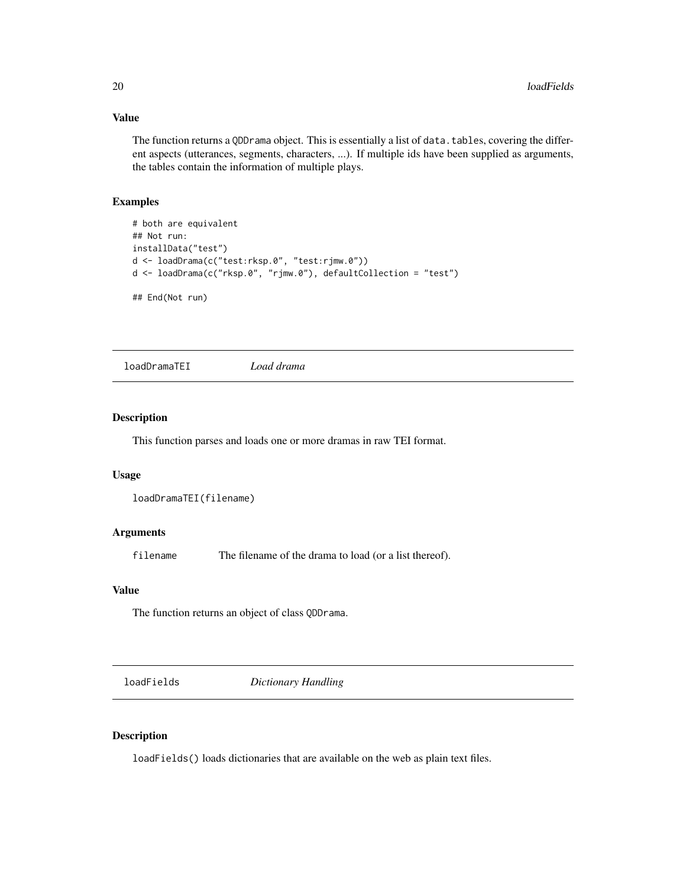#### <span id="page-19-0"></span>Value

The function returns a QDDrama object. This is essentially a list of data.tables, covering the different aspects (utterances, segments, characters, ...). If multiple ids have been supplied as arguments, the tables contain the information of multiple plays.

## Examples

```
# both are equivalent
## Not run:
installData("test")
d <- loadDrama(c("test:rksp.0", "test:rjmw.0"))
d <- loadDrama(c("rksp.0", "rjmw.0"), defaultCollection = "test")
## End(Not run)
```
loadDramaTEI *Load drama*

## Description

This function parses and loads one or more dramas in raw TEI format.

#### Usage

```
loadDramaTEI(filename)
```
#### Arguments

filename The filename of the drama to load (or a list thereof).

#### Value

The function returns an object of class QDDrama.

<span id="page-19-1"></span>loadFields *Dictionary Handling*

#### Description

loadFields() loads dictionaries that are available on the web as plain text files.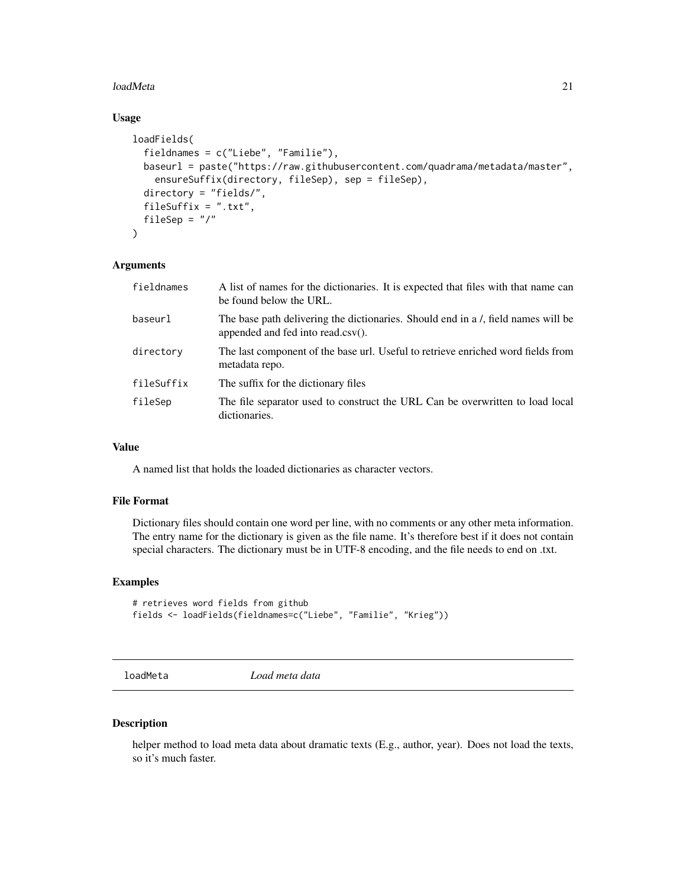#### <span id="page-20-0"></span>loadMeta 21

## Usage

```
loadFields(
  fieldnames = c("Liebe", "Familie"),
 baseurl = paste("https://raw.githubusercontent.com/quadrama/metadata/master",
    ensureSuffix(directory, fileSep), sep = fileSep),
  directory = "fields/",
  fileSuffix = ".txt",
 fileSep = "/"
)
```
#### Arguments

| fieldnames | A list of names for the dictionaries. It is expected that files with that name can<br>be found below the URL.              |
|------------|----------------------------------------------------------------------------------------------------------------------------|
| baseurl    | The base path delivering the dictionaries. Should end in a /, field names will be<br>appended and fed into read.csv $()$ . |
| directory  | The last component of the base url. Useful to retrieve enriched word fields from<br>metadata repo.                         |
| fileSuffix | The suffix for the dictionary files                                                                                        |
| fileSep    | The file separator used to construct the URL Can be overwritten to load local<br>dictionaries.                             |

## Value

A named list that holds the loaded dictionaries as character vectors.

#### File Format

Dictionary files should contain one word per line, with no comments or any other meta information. The entry name for the dictionary is given as the file name. It's therefore best if it does not contain special characters. The dictionary must be in UTF-8 encoding, and the file needs to end on .txt.

#### Examples

```
# retrieves word fields from github
fields <- loadFields(fieldnames=c("Liebe", "Familie", "Krieg"))
```
loadMeta *Load meta data*

#### Description

helper method to load meta data about dramatic texts (E.g., author, year). Does not load the texts, so it's much faster.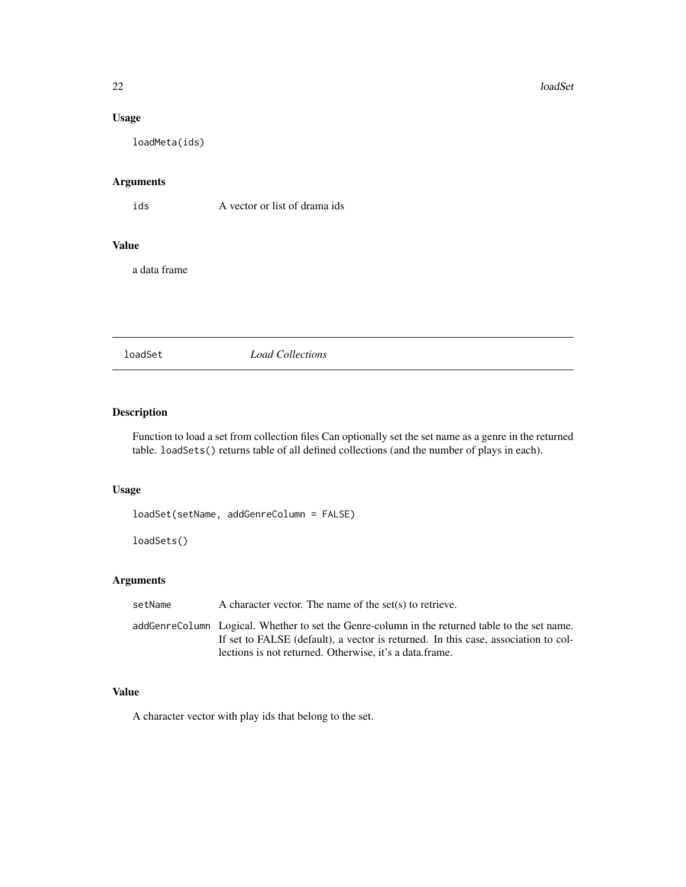## <span id="page-21-0"></span>Usage

loadMeta(ids)

## Arguments

ids A vector or list of drama ids

#### Value

a data frame

loadSet *Load Collections*

## Description

Function to load a set from collection files Can optionally set the set name as a genre in the returned table. loadSets() returns table of all defined collections (and the number of plays in each).

## Usage

loadSet(setName, addGenreColumn = FALSE)

loadSets()

## Arguments

| setName | A character vector. The name of the set(s) to retrieve.                                                                                                                              |
|---------|--------------------------------------------------------------------------------------------------------------------------------------------------------------------------------------|
|         | addGenreColumn Logical. Whether to set the Genre-column in the returned table to the set name.<br>If set to FALSE (default), a vector is returned. In this case, association to col- |
|         | lections is not returned. Otherwise, it's a data frame.                                                                                                                              |

## Value

A character vector with play ids that belong to the set.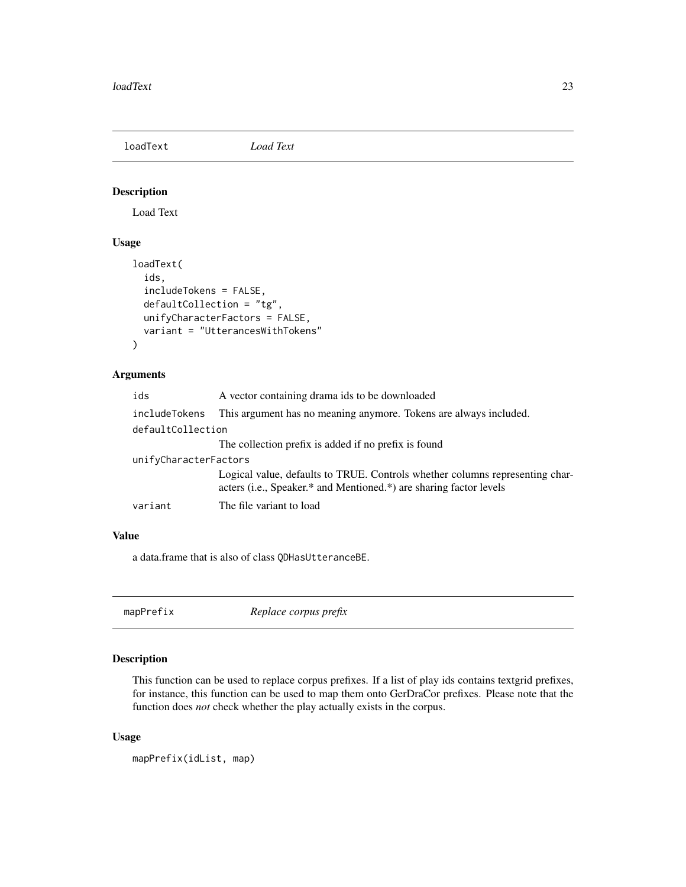<span id="page-22-0"></span>loadText *Load Text*

## Description

Load Text

## Usage

```
loadText(
  ids,
  includeTokens = FALSE,
  defaultCollection = "tg",
  unifyCharacterFactors = FALSE,
  variant = "UtterancesWithTokens"
)
```
#### Arguments

| ids                   | A vector containing drama ids to be downloaded                                                                                                     |  |
|-----------------------|----------------------------------------------------------------------------------------------------------------------------------------------------|--|
| includeTokens         | This argument has no meaning anymore. Tokens are always included.                                                                                  |  |
| defaultCollection     |                                                                                                                                                    |  |
|                       | The collection prefix is added if no prefix is found                                                                                               |  |
| unifyCharacterFactors |                                                                                                                                                    |  |
|                       | Logical value, defaults to TRUE. Controls whether columns representing char-<br>acters (i.e., Speaker.* and Mentioned.*) are sharing factor levels |  |
| variant               | The file variant to load                                                                                                                           |  |
|                       |                                                                                                                                                    |  |

#### Value

a data.frame that is also of class QDHasUtteranceBE.

mapPrefix *Replace corpus prefix*

## Description

This function can be used to replace corpus prefixes. If a list of play ids contains textgrid prefixes, for instance, this function can be used to map them onto GerDraCor prefixes. Please note that the function does *not* check whether the play actually exists in the corpus.

## Usage

mapPrefix(idList, map)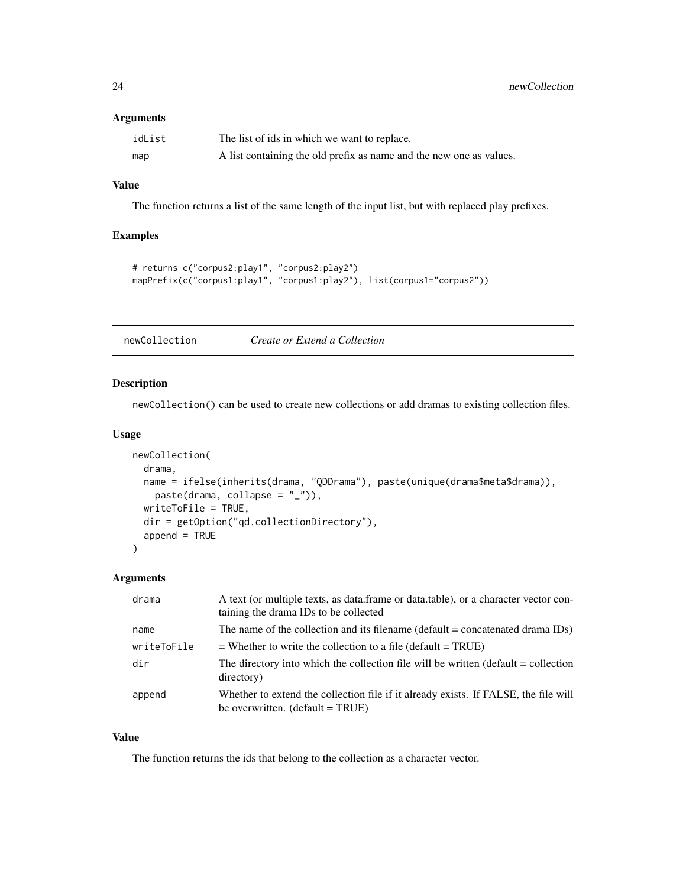## <span id="page-23-0"></span>Arguments

| idList | The list of ids in which we want to replace.                        |
|--------|---------------------------------------------------------------------|
| map    | A list containing the old prefix as name and the new one as values. |

## Value

The function returns a list of the same length of the input list, but with replaced play prefixes.

#### Examples

```
# returns c("corpus2:play1", "corpus2:play2")
mapPrefix(c("corpus1:play1", "corpus1:play2"), list(corpus1="corpus2"))
```
newCollection *Create or Extend a Collection*

#### Description

newCollection() can be used to create new collections or add dramas to existing collection files.

#### Usage

```
newCollection(
  drama,
  name = ifelse(inherits(drama, "QDDrama"), paste(unique(drama$meta$drama)),
    paste(drama, collapse = "_")),
  writeToFile = TRUE,
  dir = getOption("qd.collectionDirectory"),
  append = TRUE\overline{\phantom{a}}
```
## Arguments

| drama       | A text (or multiple texts, as data.frame or data.table), or a character vector con-<br>taining the drama IDs to be collected            |
|-------------|-----------------------------------------------------------------------------------------------------------------------------------------|
| name        | The name of the collection and its filename ( $default = concatenated$ drama $IDs$ )                                                    |
| writeToFile | $=$ Whether to write the collection to a file (default $=$ TRUE)                                                                        |
| dir         | The directory into which the collection file will be written (default = collection<br>directory)                                        |
| append      | Whether to extend the collection file if it already exists. If FALSE, the file will<br>be overwritten. $(\text{default} = \text{TRUE})$ |

## Value

The function returns the ids that belong to the collection as a character vector.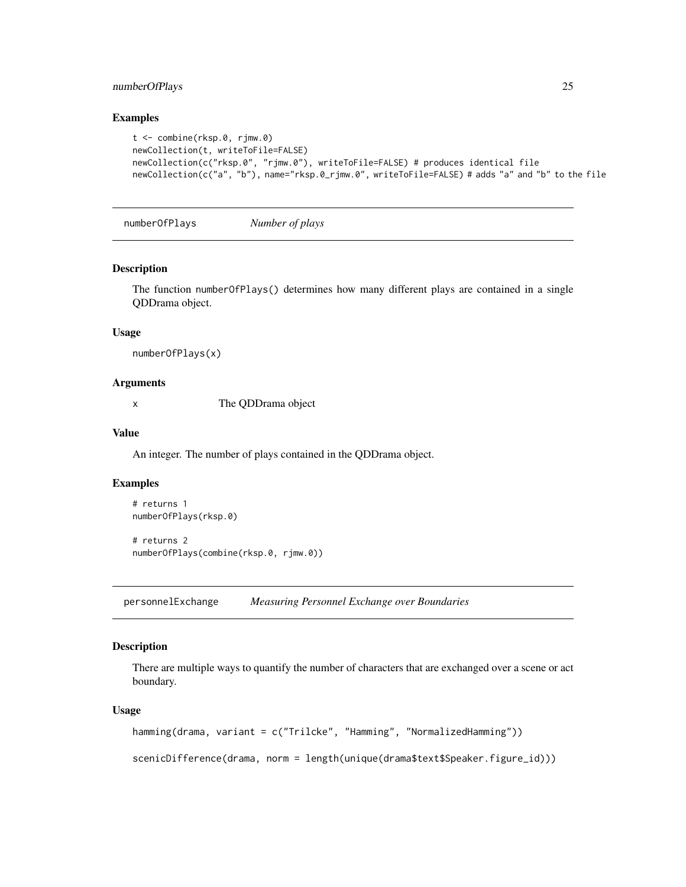## <span id="page-24-0"></span>numberOfPlays 25

#### Examples

```
t <- combine(rksp.0, rjmw.0)
newCollection(t, writeToFile=FALSE)
newCollection(c("rksp.0", "rjmw.0"), writeToFile=FALSE) # produces identical file
newCollection(c("a", "b"), name="rksp.0_rjmw.0", writeToFile=FALSE) # adds "a" and "b" to the file
```

```
numberOfPlays Number of plays
```
#### Description

The function numberOfPlays() determines how many different plays are contained in a single QDDrama object.

#### Usage

```
numberOfPlays(x)
```
## Arguments

x The QDDrama object

#### Value

An integer. The number of plays contained in the QDDrama object.

#### Examples

```
# returns 1
numberOfPlays(rksp.0)
# returns 2
numberOfPlays(combine(rksp.0, rjmw.0))
```
personnelExchange *Measuring Personnel Exchange over Boundaries*

## Description

There are multiple ways to quantify the number of characters that are exchanged over a scene or act boundary.

#### Usage

```
hamming(drama, variant = c("Trilcke", "Hamming", "NormalizedHamming"))
```
scenicDifference(drama, norm = length(unique(drama\$text\$Speaker.figure\_id)))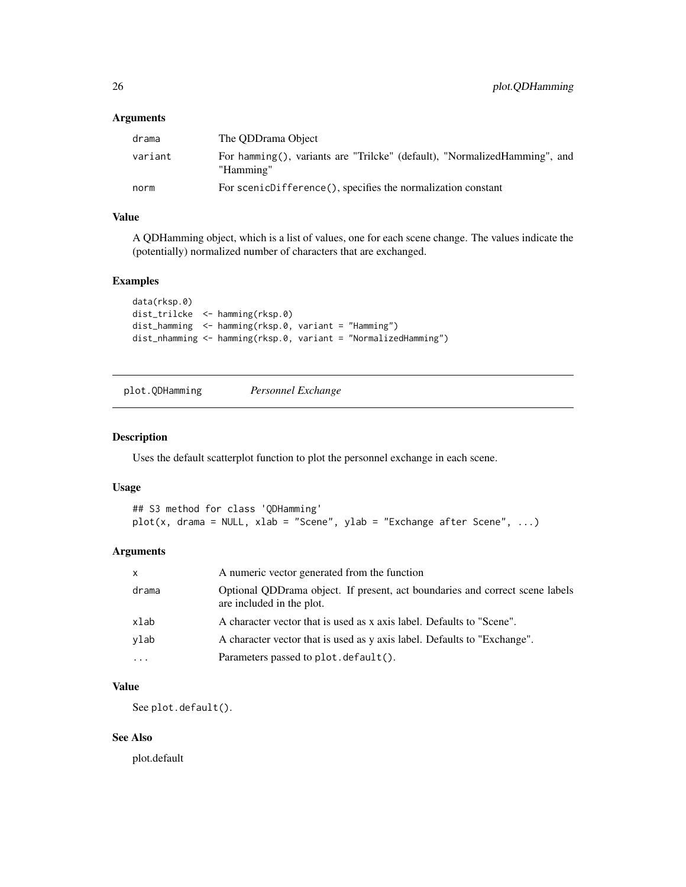#### <span id="page-25-0"></span>Arguments

| drama   | The ODDrama Object                                                                     |
|---------|----------------------------------------------------------------------------------------|
| variant | For hamming(), variants are "Trilcke" (default), "NormalizedHamming", and<br>"Hamming" |
| norm    | For scenicDifference(), specifies the normalization constant                           |

## Value

A QDHamming object, which is a list of values, one for each scene change. The values indicate the (potentially) normalized number of characters that are exchanged.

#### Examples

```
data(rksp.0)
dist_trilcke <- hamming(rksp.0)
dist_hamming <- hamming(rksp.0, variant = "Hamming")
dist_nhamming <- hamming(rksp.0, variant = "NormalizedHamming")
```
plot.QDHamming *Personnel Exchange*

#### Description

Uses the default scatterplot function to plot the personnel exchange in each scene.

#### Usage

```
## S3 method for class 'QDHamming'
plot(x, drama = NULL, xlab = "Scene", ylab = "Exchange after Scene", ...)
```
#### Arguments

| $\mathsf{x}$ | A numeric vector generated from the function                                                              |
|--------------|-----------------------------------------------------------------------------------------------------------|
| drama        | Optional QDDrama object. If present, act boundaries and correct scene labels<br>are included in the plot. |
| xlab         | A character vector that is used as x axis label. Defaults to "Scene".                                     |
| ylab         | A character vector that is used as y axis label. Defaults to "Exchange".                                  |
| $\ddotsc$    | Parameters passed to plot. default().                                                                     |

## Value

See plot.default().

## See Also

plot.default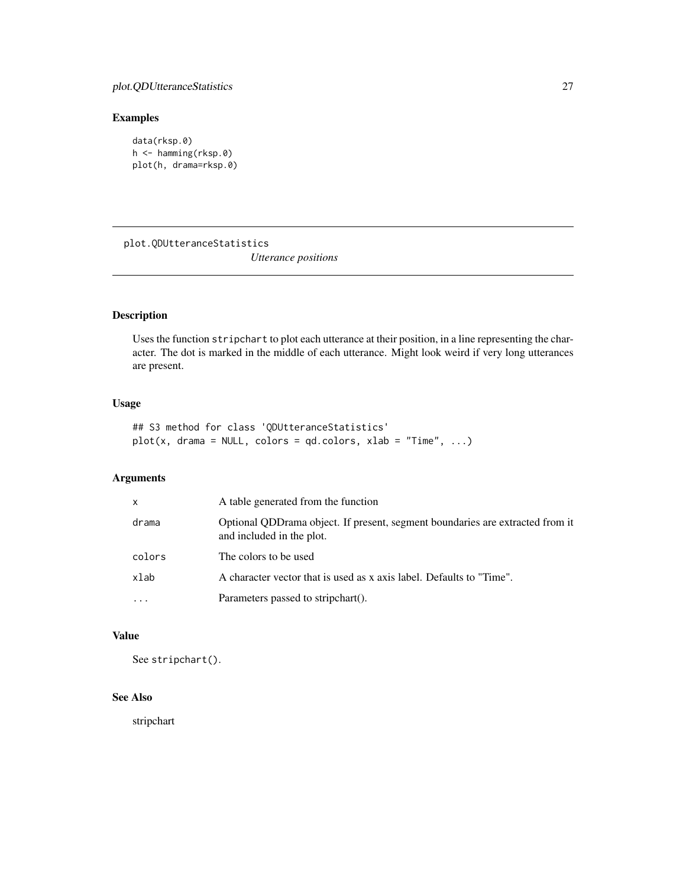## <span id="page-26-0"></span>Examples

```
data(rksp.0)
h <- hamming(rksp.0)
plot(h, drama=rksp.0)
```
plot.QDUtteranceStatistics *Utterance positions*

## Description

Uses the function stripchart to plot each utterance at their position, in a line representing the character. The dot is marked in the middle of each utterance. Might look weird if very long utterances are present.

## Usage

```
## S3 method for class 'QDUtteranceStatistics'
plot(x, drama = NULL, colors = qd.close, xlab = "Time", ...)
```
#### Arguments

| $\mathsf{x}$ | A table generated from the function                                                                        |
|--------------|------------------------------------------------------------------------------------------------------------|
| drama        | Optional QDDrama object. If present, segment boundaries are extracted from it<br>and included in the plot. |
| colors       | The colors to be used                                                                                      |
| xlab         | A character vector that is used as x axis label. Defaults to "Time".                                       |
|              | Parameters passed to stripchart().                                                                         |

## Value

See stripchart().

## See Also

stripchart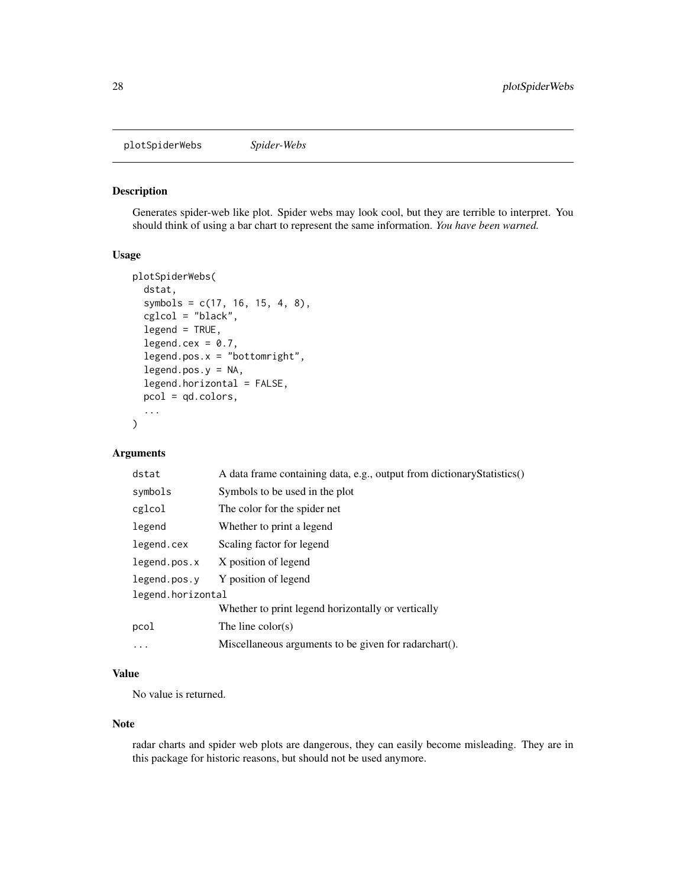<span id="page-27-0"></span>plotSpiderWebs *Spider-Webs*

#### Description

Generates spider-web like plot. Spider webs may look cool, but they are terrible to interpret. You should think of using a bar chart to represent the same information. *You have been warned.*

#### Usage

```
plotSpiderWebs(
  dstat,
  symbols = c(17, 16, 15, 4, 8),
  cglcol = "black",
  legend = TRUE,
  legend.cex = 0.7,
  legend.pos.x = "bottomright",
  legend.pos.y = NA,
  legend.horizontal = FALSE,
 pcol = qd.colors,
  ...
)
```
#### Arguments

| dstat             | A data frame containing data, e.g., output from dictionary Statistics() |
|-------------------|-------------------------------------------------------------------------|
| symbols           | Symbols to be used in the plot                                          |
| cglcol            | The color for the spider net                                            |
| legend            | Whether to print a legend                                               |
| legend.cex        | Scaling factor for legend                                               |
| legend.pos.x      | X position of legend                                                    |
| legend.pos.v      | Y position of legend                                                    |
| legend.horizontal |                                                                         |
|                   | Whether to print legend horizontally or vertically                      |
| pcol              | The line $color(s)$                                                     |
| .                 | Miscellaneous arguments to be given for radarchart().                   |
|                   |                                                                         |

#### Value

No value is returned.

#### Note

radar charts and spider web plots are dangerous, they can easily become misleading. They are in this package for historic reasons, but should not be used anymore.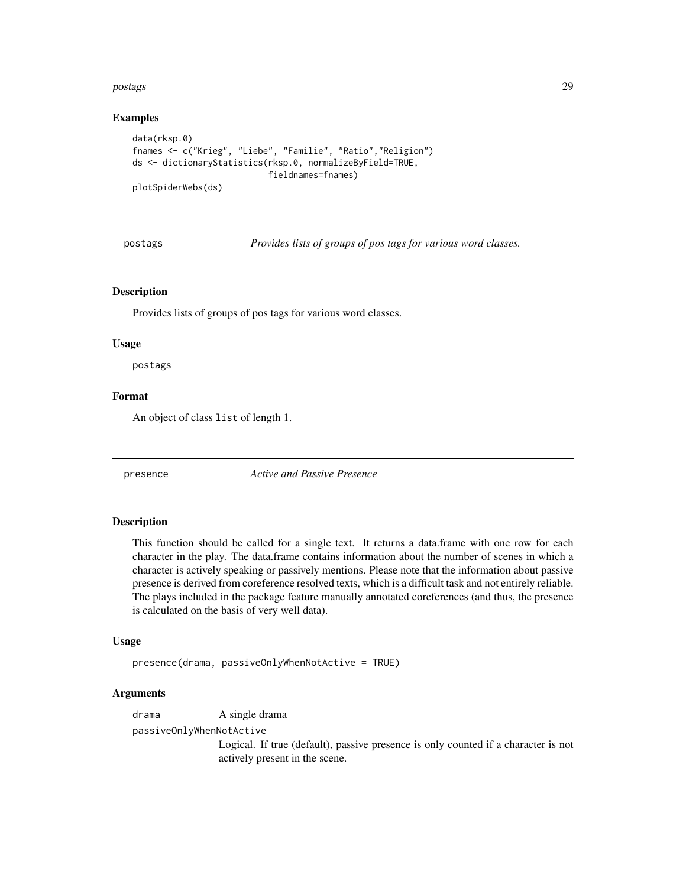#### <span id="page-28-0"></span>postags 29 and 2012 to 2012 the contract of the contract of the contract of the contract of the contract of the contract of the contract of the contract of the contract of the contract of the contract of the contract of th

#### Examples

```
data(rksp.0)
fnames <- c("Krieg", "Liebe", "Familie", "Ratio","Religion")
ds <- dictionaryStatistics(rksp.0, normalizeByField=TRUE,
                           fieldnames=fnames)
plotSpiderWebs(ds)
```
postags *Provides lists of groups of pos tags for various word classes.*

#### **Description**

Provides lists of groups of pos tags for various word classes.

#### Usage

postags

#### Format

An object of class list of length 1.

presence *Active and Passive Presence*

#### Description

This function should be called for a single text. It returns a data.frame with one row for each character in the play. The data.frame contains information about the number of scenes in which a character is actively speaking or passively mentions. Please note that the information about passive presence is derived from coreference resolved texts, which is a difficult task and not entirely reliable. The plays included in the package feature manually annotated coreferences (and thus, the presence is calculated on the basis of very well data).

#### Usage

presence(drama, passiveOnlyWhenNotActive = TRUE)

## Arguments

drama A single drama

passiveOnlyWhenNotActive

Logical. If true (default), passive presence is only counted if a character is not actively present in the scene.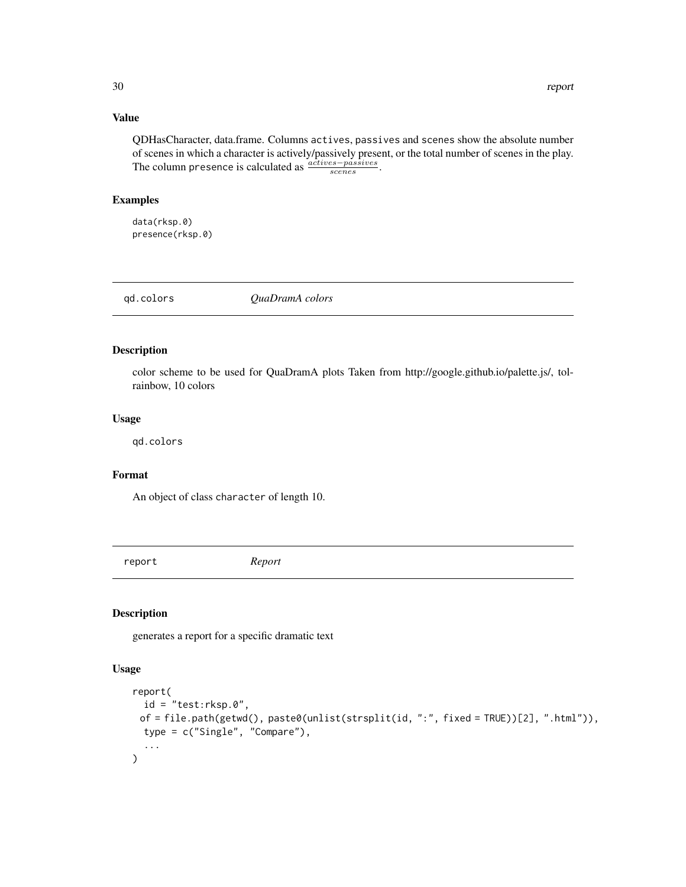#### <span id="page-29-0"></span>Value

QDHasCharacter, data.frame. Columns actives, passives and scenes show the absolute number of scenes in which a character is actively/passively present, or the total number of scenes in the play. The column presence is calculated as  $\frac{actives-passives}{scenes}$ .

#### Examples

data(rksp.0) presence(rksp.0)

qd.colors *QuaDramA colors*

## Description

color scheme to be used for QuaDramA plots Taken from http://google.github.io/palette.js/, tolrainbow, 10 colors

#### Usage

qd.colors

## Format

An object of class character of length 10.

report *Report*

#### Description

generates a report for a specific dramatic text

#### Usage

```
report(
  id = "test:rksp.0",of = file.path(getwd(), paste0(unlist(strsplit(id, ":", fixed = TRUE))[2], ".html")),
 type = c("Single", "Compare"),
  ...
\mathcal{L}
```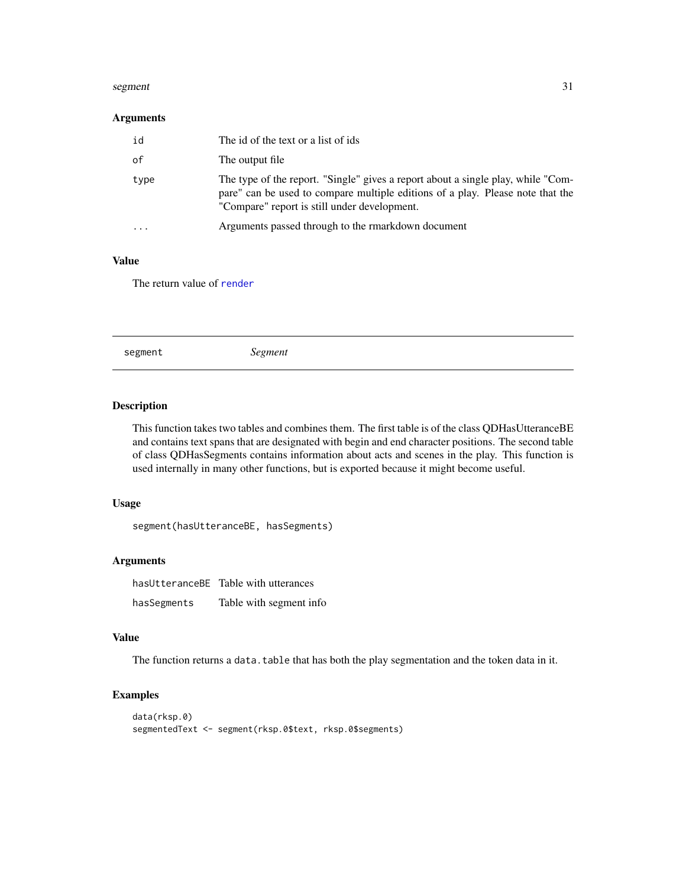#### <span id="page-30-0"></span>segment 31

#### Arguments

| id   | The id of the text or a list of ids                                                                                                                                                                                |
|------|--------------------------------------------------------------------------------------------------------------------------------------------------------------------------------------------------------------------|
| 0f   | The output file                                                                                                                                                                                                    |
| type | The type of the report. "Single" gives a report about a single play, while "Com-<br>pare" can be used to compare multiple editions of a play. Please note that the<br>"Compare" report is still under development. |
| .    | Arguments passed through to the rmarkdown document                                                                                                                                                                 |

## Value

The return value of [render](#page-0-0)

|--|--|--|--|--|--|

## Description

This function takes two tables and combines them. The first table is of the class QDHasUtteranceBE and contains text spans that are designated with begin and end character positions. The second table of class QDHasSegments contains information about acts and scenes in the play. This function is used internally in many other functions, but is exported because it might become useful.

## Usage

segment(hasUtteranceBE, hasSegments)

## Arguments

hasUtteranceBE Table with utterances hasSegments Table with segment info

#### Value

The function returns a data.table that has both the play segmentation and the token data in it.

## Examples

```
data(rksp.0)
segmentedText <- segment(rksp.0$text, rksp.0$segments)
```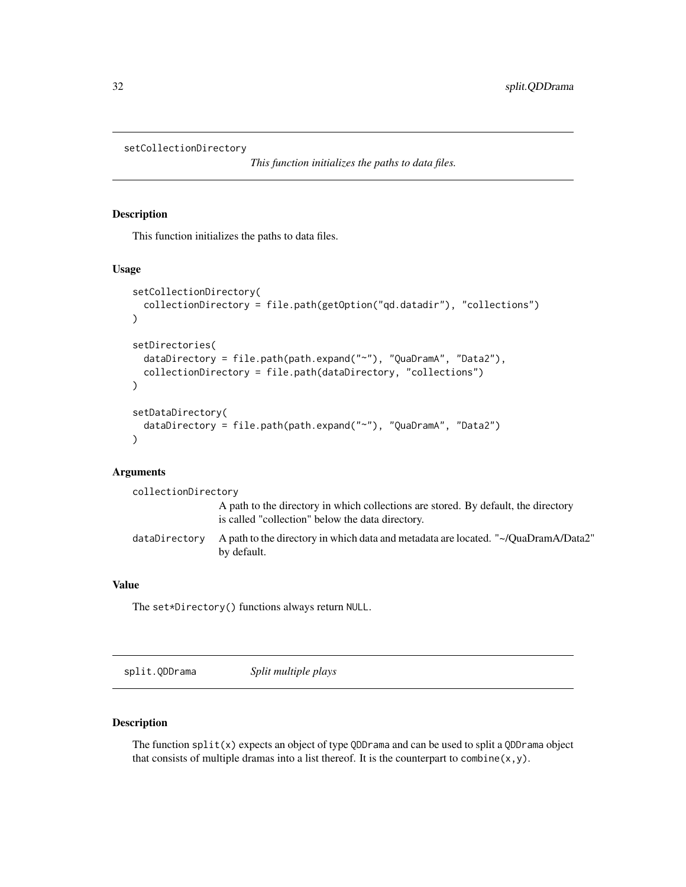```
setCollectionDirectory
```
*This function initializes the paths to data files.*

#### Description

This function initializes the paths to data files.

#### Usage

```
setCollectionDirectory(
  collectionDirectory = file.path(getOption("qd.datadir"), "collections")
)
setDirectories(
  dataDirectory = file.path(path.expand("~"), "QuaDramA", "Data2"),
  collectionDirectory = file.path(dataDirectory, "collections")
)
setDataDirectory(
  dataDirectory = file.path(path.expand("~"), "QuaDramA", "Data2")
\lambda
```
#### **Arguments**

| collectionDirectory |                                                                                                                                        |
|---------------------|----------------------------------------------------------------------------------------------------------------------------------------|
|                     | A path to the directory in which collections are stored. By default, the directory<br>is called "collection" below the data directory. |
| dataDirectory       | "A path to the directory in which data and metadata are located. "~/QuaDramA/Data2<br>by default.                                      |

## Value

The set\*Directory() functions always return NULL.

split.QDDrama *Split multiple plays*

## Description

The function  $split(x)$  expects an object of type QDDrama and can be used to split a QDDrama object that consists of multiple dramas into a list thereof. It is the counterpart to combine $(x, y)$ .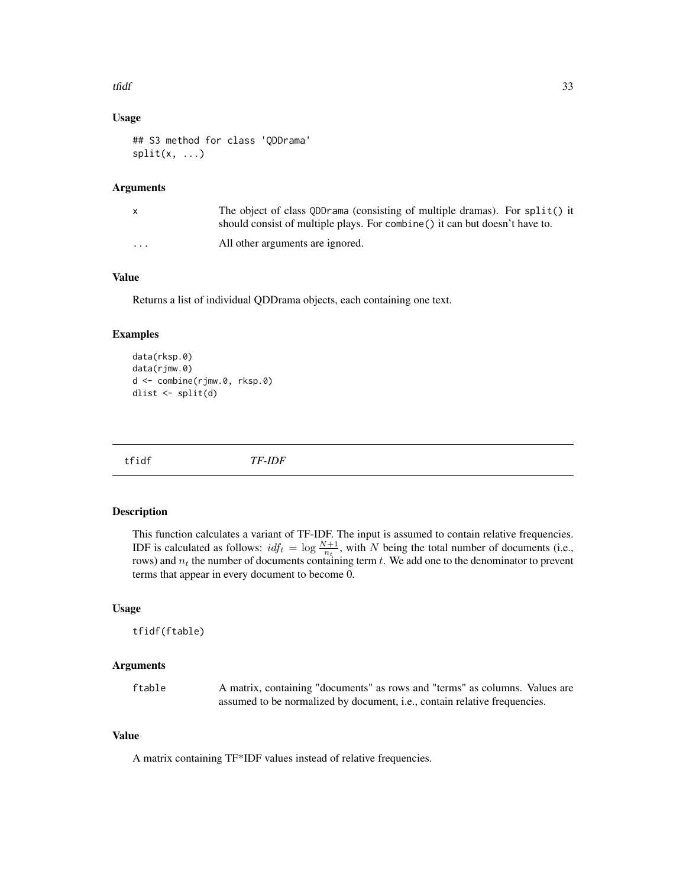#### <span id="page-32-0"></span>tfidf 33

#### Usage

```
## S3 method for class 'QDDrama'
split(x, \ldots)
```
#### Arguments

|          | The object of class QDD rama (consisting of multiple dramas). For split() it<br>should consist of multiple plays. For combine () it can but doesn't have to. |
|----------|--------------------------------------------------------------------------------------------------------------------------------------------------------------|
| $\cdots$ | All other arguments are ignored.                                                                                                                             |

## Value

Returns a list of individual QDDrama objects, each containing one text.

#### Examples

```
data(rksp.0)
data(rjmw.0)
d <- combine(rjmw.0, rksp.0)
dlist <- split(d)
```
tfidf *TF-IDF*

#### Description

This function calculates a variant of TF-IDF. The input is assumed to contain relative frequencies. IDF is calculated as follows:  $idf_t = \log \frac{N+1}{n_t}$ , with N being the total number of documents (i.e., rows) and  $n_t$  the number of documents containing term t. We add one to the denominator to prevent terms that appear in every document to become 0.

#### Usage

tfidf(ftable)

## Arguments

ftable A matrix, containing "documents" as rows and "terms" as columns. Values are assumed to be normalized by document, i.e., contain relative frequencies.

#### Value

A matrix containing TF\*IDF values instead of relative frequencies.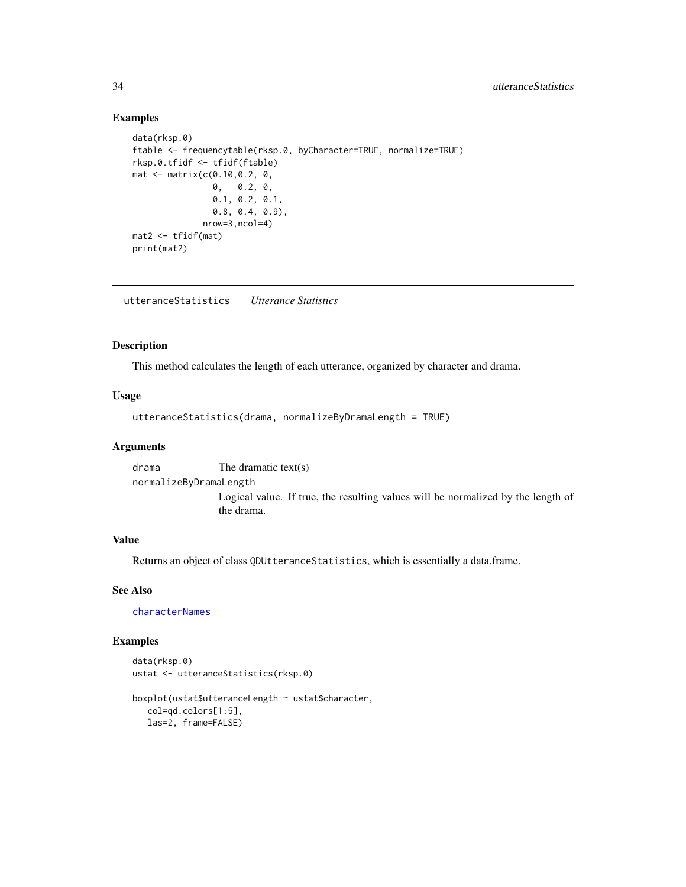## Examples

```
data(rksp.0)
ftable <- frequencytable(rksp.0, byCharacter=TRUE, normalize=TRUE)
rksp.0.tfidf <- tfidf(ftable)
mat <- matrix(c(0.10,0.2, 0,
               0, 0.2, 0,
                0.1, 0.2, 0.1,
               0.8, 0.4, 0.9),
             nrow=3,ncol=4)
mat2 < -tfidf(mat)print(mat2)
```
utteranceStatistics *Utterance Statistics*

## Description

This method calculates the length of each utterance, organized by character and drama.

#### Usage

```
utteranceStatistics(drama, normalizeByDramaLength = TRUE)
```
#### Arguments

drama The dramatic text(s) normalizeByDramaLength Logical value. If true, the resulting values will be normalized by the length of the drama.

## Value

Returns an object of class QDUtteranceStatistics, which is essentially a data.frame.

#### See Also

[characterNames](#page-3-1)

#### Examples

```
data(rksp.0)
ustat <- utteranceStatistics(rksp.0)
```

```
boxplot(ustat$utteranceLength ~ ustat$character,
  col=qd.colors[1:5],
  las=2, frame=FALSE)
```
<span id="page-33-0"></span>